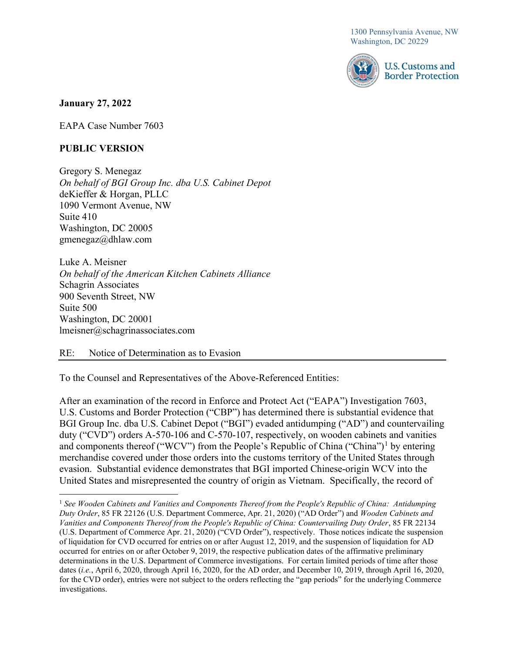1300 Pennsylvania Avenue, NW Washington, DC 20229



## January 27, 2022

EAPA Case Number 7603

## PUBLIC VERSION

 Gregory S. Menegaz On behalf of BGI Group Inc. dba U.S. Cabinet Depot deKieffer & Horgan, PLLC 1090 Vermont Avenue, NW Suite 410 Washington, DC 20005 [gmenegaz@dhlaw.com](mailto:gmenegaz@dhlaw.com)

 Luke A. Meisner On behalf of the American Kitchen Cabinets Alliance Schagrin Associates 900 Seventh Street, NW Suite 500 Washington, DC 20001 [lmeisner@schagrinassociates.com](mailto:lmeisner@schagrinassociates.com)

 $RE:$ Notice of Determination as to Evasion

To the Counsel and Representatives of the Above-Referenced Entities:

 After an examination of the record in Enforce and Protect Act ("EAPA") Investigation 7603, U.S. Customs and Border Protection ("CBP") has determined there is substantial evidence that BGI Group Inc. dba U.S. Cabinet Depot ("BGI") evaded antidumping ("AD") and countervailing duty ("CVD") orders A-570-106 and C-570-107, respectively, on wooden cabinets and vanities and components thereof ("WCV") from the People's Republic of China ("China")<sup>1</sup> by entering merchandise covered under those orders into the customs territory of the United States through evasion. Substantial evidence demonstrates that BGI imported Chinese-origin WCV into the United States and misrepresented the country of origin as Vietnam. Specifically, the record of

<sup>&</sup>lt;sup>1</sup> See Wooden Cabinets and Vanities and Components Thereof from the People's Republic of China: Antidumping Duty Order, 85 FR 22126 (U.S. Department Commerce, Apr. 21, 2020) ("AD Order") and Wooden Cabinets and Vanities and Components Thereof from the People's Republic of China: Countervailing Duty Order, 85 FR 22134 (U.S. Department of Commerce Apr. 21, 2020) ("CVD Order"), respectively. Those notices indicate the suspension of liquidation for CVD occurred for entries on or after August 12, 2019, and the suspension of liquidation for AD occurred for entries on or after October 9, 2019, the respective publication dates of the affirmative preliminary determinations in the U.S. Department of Commerce investigations. For certain limited periods of time after those dates (i.e., April 6, 2020, through April 16, 2020, for the AD order, and December 10, 2019, through April 16, 2020, for the CVD order), entries were not subject to the orders reflecting the "gap periods" for the underlying Commerce investigations.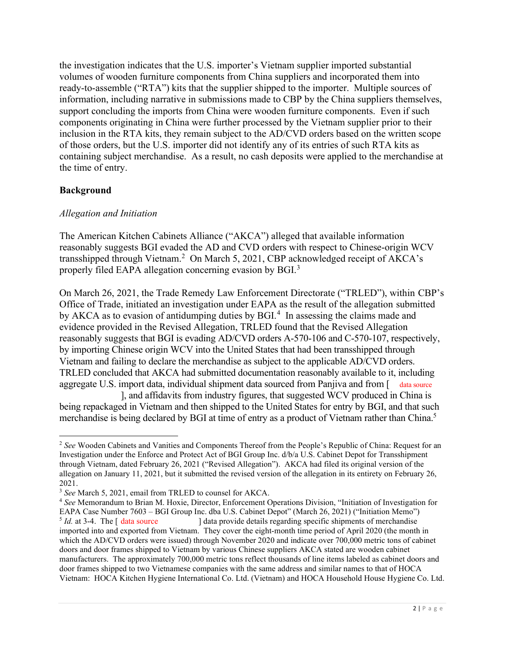the investigation indicates that the U.S. importer's Vietnam supplier imported substantial volumes of wooden furniture components from China suppliers and incorporated them into ready-to-assemble ("RTA") kits that the supplier shipped to the importer. Multiple sources of information, including narrative in submissions made to CBP by the China suppliers themselves, support concluding the imports from China were wooden furniture components. Even if such components originating in China were further processed by the Vietnam supplier prior to their inclusion in the RTA kits, they remain subject to the AD/CVD orders based on the written scope of those orders, but the U.S. importer did not identify any of its entries of such RTA kits as containing subject merchandise. As a result, no cash deposits were applied to the merchandise at the time of entry.

# Background

## Allegation and Initiation

 The American Kitchen Cabinets Alliance ("AKCA") alleged that available information reasonably suggests BGI evaded the AD and CVD orders with respect to Chinese-origin WCV transshipped through Vietnam.<sup>2</sup> On March 5, 2021, CBP acknowledged receipt of AKCA's properly filed EAPA allegation concerning evasion by BGI.<sup>3</sup>

 On March 26, 2021, the Trade Remedy Law Enforcement Directorate ("TRLED"), within CBP's Office of Trade, initiated an investigation under EAPA as the result of the allegation submitted by AKCA as to evasion of antidumping duties by  $BGI<sup>4</sup>$  In assessing the claims made and evidence provided in the Revised Allegation, TRLED found that the Revised Allegation reasonably suggests that BGI is evading AD/CVD orders A-570-106 and C-570-107, respectively, by importing Chinese origin WCV into the United States that had been transshipped through Vietnam and failing to declare the merchandise as subject to the applicable AD/CVD orders. TRLED concluded that AKCA had submitted documentation reasonably available to it, including aggregate U.S. import data, individual shipment data sourced from Panjiva and from [ data source

 being repackaged in Vietnam and then shipped to the United States for entry by BGI, and that such merchandise is being declared by BGI at time of entry as a product of Vietnam rather than China.<sup>5</sup> ], and affidavits from industry figures, that suggested WCV produced in China is

<sup>&</sup>lt;sup>2</sup> See Wooden Cabinets and Vanities and Components Thereof from the People's Republic of China: Request for an Investigation under the Enforce and Protect Act of BGI Group Inc. d/b/a U.S. Cabinet Depot for Transshipment through Vietnam, dated February 26, 2021 ("Revised Allegation"). AKCA had filed its original version of the allegation on January 11, 2021, but it submitted the revised version of the allegation in its entirety on February 26, 2021.

 $3$  See March 5, 2021, email from TRLED to counsel for AKCA.

<sup>&</sup>lt;sup>4</sup> See Memorandum to Brian M. Hoxie, Director, Enforcement Operations Division, "Initiation of Investigation for EAPA Case Number 7603 – BGI Group Inc. dba U.S. Cabinet Depot" (March 26, 2021) ("Initiation Memo") *Id.* at 3-4. The  $\int$  data source imported into and exported from Vietnam. They cover the eight-month time period of April 2020 (the month in which the AD/CVD orders were issued) through November 2020 and indicate over 700,000 metric tons of cabinet doors and door frames shipped to Vietnam by various Chinese suppliers AKCA stated are wooden cabinet manufacturers. The approximately 700,000 metric tons reflect thousands of line items labeled as cabinet doors and door frames shipped to two Vietnamese companies with the same address and similar names to that of HOCA Vietnam: HOCA Kitchen Hygiene International Co. Ltd. (Vietnam) and HOCA Household House Hygiene Co. Ltd. ] data provide details regarding specific shipments of merchandise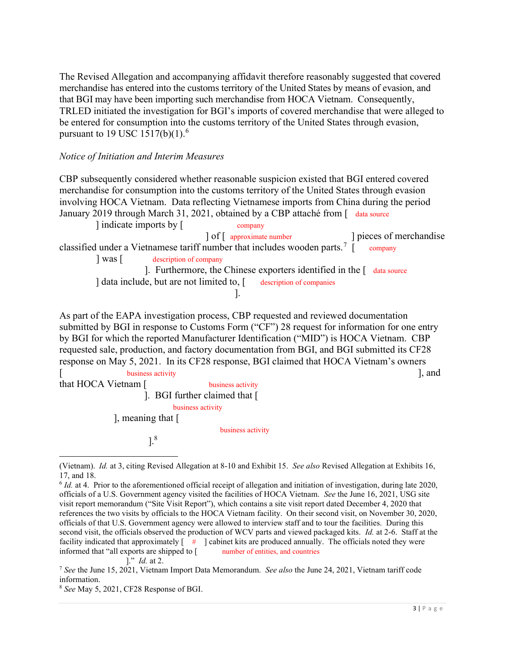The Revised Allegation and accompanying affidavit therefore reasonably suggested that covered merchandise has entered into the customs territory of the United States by means of evasion, and that BGI may have been importing such merchandise from HOCA Vietnam. Consequently, TRLED initiated the investigation for BGI's imports of covered merchandise that were alleged to be entered for consumption into the customs territory of the United States through evasion, pursuant to 19 USC 1517(b)(1).<sup>6</sup>

#### Notice of Initiation and Interim Measures

 CBP subsequently considered whether reasonable suspicion existed that BGI entered covered merchandise for consumption into the customs territory of the United States through evasion involving HOCA Vietnam. Data reflecting Vietnamese imports from China during the period January 2019 through March 31, 2021, obtained by a CBP attaché from [ data source

] indicate imports by [ company classified under a Vietnamese tariff number that includes wooden parts.<sup>7</sup> [ company  $\vert$  was  $\vert$ ] data include, but are not limited to, [ description of companies  $\int$  of  $\int$  approximate number company ] Was [ description of company ]. Furthermore, the Chinese exporters identified in the [ data source ] pieces of merchandise ].

 As part of the EAPA investigation process, CBP requested and reviewed documentation submitted by BGI in response to Customs Form ("CF") 28 request for information for one entry by BGI for which the reported Manufacturer Identification ("MID") is HOCA Vietnam. CBP requested sale, production, and factory documentation from BGI, and BGI submitted its CF28 response on May 5, 2021. In its CF28 response, BGI claimed that HOCA Vietnam's owners

that HOCA Vietnam [ business activity  $\lambda$ ], meaning that  $\lambda$ [ business activity ], and business activity ]. BGI further claimed that  $[$ business activity business activity ].8

<sup>(</sup>Vietnam). Id. at 3, citing Revised Allegation at 8-10 and Exhibit 15. See also Revised Allegation at Exhibits 16,

 17, and 18.

 $6$  Id. at 4. Prior to the aforementioned official receipt of allegation and initiation of investigation, during late 2020, officials of a U.S. Government agency visited the facilities of HOCA Vietnam. See the June 16, 2021, USG site visit report memorandum ("Site Visit Report"), which contains a site visit report dated December 4, 2020 that references the two visits by officials to the HOCA Vietnam facility. On their second visit, on November 30, 2020, officials of that U.S. Government agency were allowed to interview staff and to tour the facilities. During this second visit, the officials observed the production of WCV parts and viewed packaged kits. Id. at 2-6. Staff at the facility indicated that approximately  $[-\#]$  cabinet kits are produced annually. The officials noted they were informed that "all exports are shipped to [ number of entities, and countries number of entities, and countries

<sup>].&</sup>quot; Id. at 2.

<sup>&</sup>lt;sup>7</sup> See the June 15, 2021, Vietnam Import Data Memorandum. See also the June 24, 2021, Vietnam tariff code information.

<sup>&</sup>lt;sup>8</sup> See May 5, 2021, CF28 Response of BGI.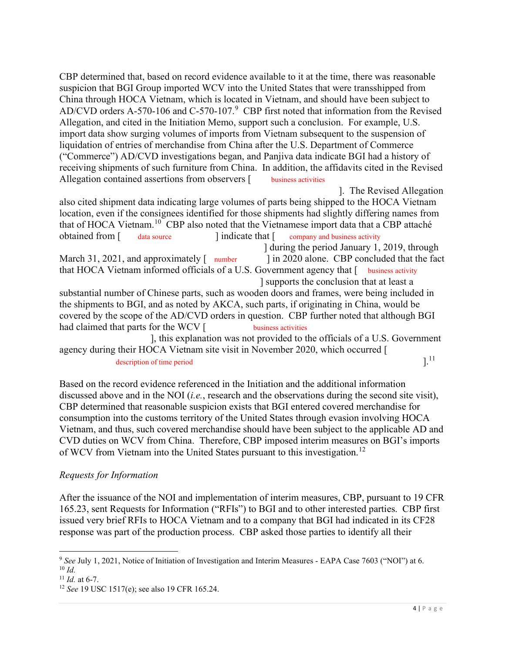CBP determined that, based on record evidence available to it at the time, there was reasonable suspicion that BGI Group imported WCV into the United States that were transshipped from China through HOCA Vietnam, which is located in Vietnam, and should have been subject to AD/CVD orders A-570-106 and C-570-107. $9$  CBP first noted that information from the Revised Allegation, and cited in the Initiation Memo, support such a conclusion. For example, U.S. import data show surging volumes of imports from Vietnam subsequent to the suspension of liquidation of entries of merchandise from China after the U.S. Department of Commerce ("Commerce") AD/CVD investigations began, and Panjiva data indicate BGI had a history of receiving shipments of such furniture from China. In addition, the affidavits cited in the Revised Allegation contained assertions from observers [ business activities business activities

 also cited shipment data indicating large volumes of parts being shipped to the HOCA Vietnam location, even if the consignees identified for those shipments had slightly differing names from that of HOCA [Vietnam.](https://Vietnam.10)<sup>10</sup> CBP also noted that the Vietnamese import data that a CBP attaché obtained from [  $31, 2021,$  and approximately  $\lceil$  number that HOCA Vietnam informed officials of a U.S. Government agency that [ business activity substantial number of Chinese parts, such as wooden doors and frames, were being included in the shipments to BGI, and as noted by AKCA, such parts, if originating in China, would be covered by the scope of the AD/CVD orders in question. CBP further noted that although BGI had claimed that parts for the WCV [ business activities agency during their HOCA Vietnam site visit in November 2020, which occurred [ obtained from  $\lceil$  data source  $\lceil$  indicate that  $\lceil$  company and business activity business activities  $\alpha$  description of time period  $\alpha$  and  $\alpha$  xxx  $\alpha$  xxx  $\alpha$  xxx  $\alpha$  and  $\alpha$  and  $\alpha$  and  $\alpha$  and  $\alpha$  and  $\alpha$  and  $\alpha$  and  $\alpha$  and  $\alpha$  and  $\alpha$  and  $\alpha$  and  $\alpha$  and  $\alpha$  and  $\alpha$  and  $\alpha$  and  $\alpha$  and  $\alpha$  and ]. The Revised Allegation ] during the period January 1, 2019, through l in 2020 alone. CBP concluded that the fact ] supports the conclusion that at least a ], this explanation was not provided to the officials of a U.S. Government

 Based on the record evidence referenced in the Initiation and the additional information discussed above and in the NOI (*i.e.*, research and the observations during the second site visit), CBP determined that reasonable suspicion exists that BGI entered covered merchandise for consumption into the customs territory of the United States through evasion involving HOCA Vietnam, and thus, such covered merchandise should have been subject to the applicable AD and CVD duties on WCV from China. Therefore, CBP imposed interim measures on BGI's imports of WCV from Vietnam into the United States pursuant to this [investigation.](https://investigation.12)<sup>12</sup>

# Requests for Information

 After the issuance of the NOI and implementation of interim measures, CBP, pursuant to 19 CFR 165.23, sent Requests for Information ("RFIs") to BGI and to other interested parties. CBP first issued very brief RFIs to HOCA Vietnam and to a company that BGI had indicated in its CF28 response was part of the production process. CBP asked those parties to identify all their

<sup>&</sup>lt;sup>9</sup> See July 1, 2021, Notice of Initiation of Investigation and Interim Measures - EAPA Case 7603 ("NOI") at 6.  $10$  Id.

 $11$  *Id.* at 6-7.

<sup>&</sup>lt;sup>12</sup> See 19 USC 1517(e); see also 19 CFR 165.24.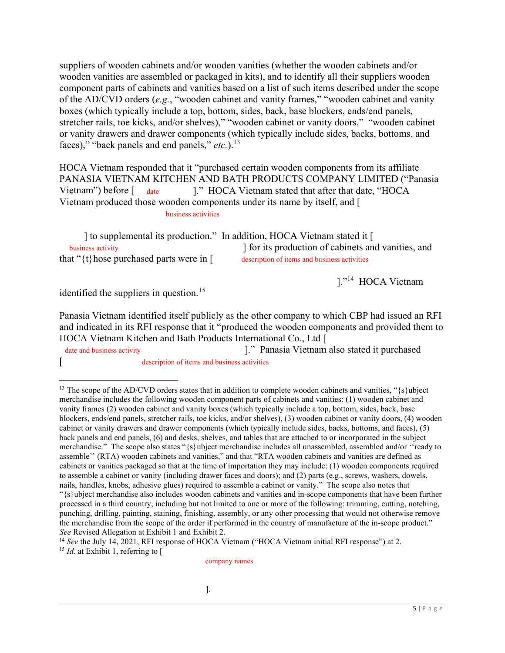suppliers of wooden cabinets and/or wooden vanities (whether the wooden cabinets and/or wooden vanities are assembled or packaged in kits), and to identify all their suppliers wooden component parts of cabinets and vanities based on a list of such items described under the scope of the AD/CVD orders (e.g., "wooden cabinet and vanity frames," "wooden cabinet and vanity boxes (which typically include a top, bottom, sides, back, base blockers, ends/end panels, stretcher rails, toe kicks, and/or shelves)," "wooden cabinet or vanity doors," "wooden cabinet or vanity drawers and drawer components (which typically include sides, backs, bottoms, and faces)," "back panels and end panels," [etc.](https://etc.).13)).<sup>13</sup>

 HOCA Vietnam responded that it "purchased certain wooden components from its affiliate PANASIA VIETNAM KITCHEN AND BATH PRODUCTS COMPANY LIMITED ("Panasia  $before \int date$  Vietnam produced those wooden components under its name by itself, and [ business activities 1." HOCA Vietnam stated that after that date, "HOCA

I to supplemental its production." In addition, HOCA Vietnam stated it [ that " $\{t\}$ hose purchased parts were in [description of items and business activities business activity description of items and business activities I for its production of cabinets and vanities, and

]."<sup>14</sup> HOCA Vietnam

identified the suppliers in question.<sup>15</sup>

 Panasia Vietnam identified itself publicly as the other company to which CBP had issued an RFI and indicated in its RFI response that it "produced the wooden components and provided them to HOCA Vietnam Kitchen and Bath Products International Co., Ltd [

date and business activity [ description of items and business activities ]." Panasia Vietnam also stated it purchased

<sup>13</sup> The scope of the AD/CVD orders states that in addition to complete wooden cabinets and vanities, " $\{s\}$ ubject merchandise includes the following wooden component parts of cabinets and vanities: (1) wooden cabinet and vanity frames (2) wooden cabinet and vanity boxes (which typically include a top, bottom, sides, back, base blockers, ends/end panels, stretcher rails, toe kicks, and/or shelves), (3) wooden cabinet or vanity doors, (4) wooden cabinet or vanity drawers and drawer components (which typically include sides, backs, bottoms, and faces), (5) back panels and end panels, (6) and desks, shelves, and tables that are attached to or incorporated in the subject merchandise." The scope also states "{s}ubject merchandise includes all unassembled, assembled and/or ''ready to assemble'' (RTA) wooden cabinets and vanities," and that "RTA wooden cabinets and vanities are defined as cabinets or vanities packaged so that at the time of importation they may include: (1) wooden components required to assemble a cabinet or vanity (including drawer faces and doors); and (2) parts (e.g., screws, washers, dowels, nails, handles, knobs, adhesive glues) required to assemble a cabinet or vanity." The scope also notes that "{s}ubject merchandise also includes wooden cabinets and vanities and in-scope components that have been further processed in a third country, including but not limited to one or more of the following: trimming, cutting, notching, punching, drilling, painting, staining, finishing, assembly, or any other processing that would not otherwise remove the merchandise from the scope of the order if performed in the country of manufacture of the in-scope product." See Revised Allegation at Exhibit 1 and Exhibit 2.

<sup>14</sup> See the July 14, 2021, RFI response of HOCA Vietnam ("HOCA Vietnam initial RFI response") at 2. <sup>15</sup> *Id.* at Exhibit 1, referring to [

company names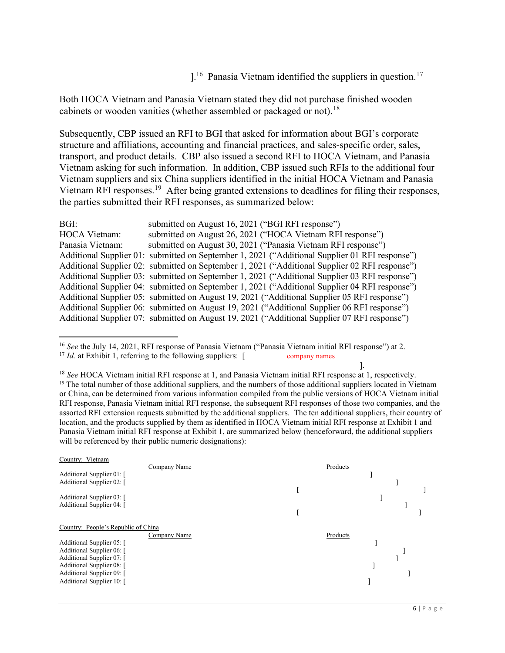$1^{16}$  Panasia Vietnam identified the suppliers in [question.](https://question.17)<sup>17</sup>

 Both HOCA Vietnam and Panasia Vietnam stated they did not purchase finished wooden cabinets or wooden vanities (whether assembled or packaged or not).<sup>18</sup>

 Subsequently, CBP issued an RFI to BGI that asked for information about BGI's corporate structure and affiliations, accounting and financial practices, and sales-specific order, sales, transport, and product details. CBP also issued a second RFI to HOCA Vietnam, and Panasia Vietnam asking for such information. In addition, CBP issued such RFIs to the additional four Vietnam suppliers and six China suppliers identified in the initial HOCA Vietnam and Panasia Vietnam RFI [responses.](https://responses.19)<sup>19</sup> After being granted extensions to deadlines for filing their responses, the parties submitted their RFI responses, as summarized below:

| BGI:                 | submitted on August 16, 2021 ("BGI RFI response")                                              |
|----------------------|------------------------------------------------------------------------------------------------|
| <b>HOCA Vietnam:</b> | submitted on August 26, 2021 ("HOCA Vietnam RFI response")                                     |
| Panasia Vietnam:     | submitted on August 30, 2021 ("Panasia Vietnam RFI response")                                  |
|                      | Additional Supplier 01: submitted on September 1, 2021 ("Additional Supplier 01 RFI response") |
|                      | Additional Supplier 02: submitted on September 1, 2021 ("Additional Supplier 02 RFI response") |
|                      | Additional Supplier 03: submitted on September 1, 2021 ("Additional Supplier 03 RFI response") |
|                      | Additional Supplier 04: submitted on September 1, 2021 ("Additional Supplier 04 RFI response") |
|                      | Additional Supplier 05: submitted on August 19, 2021 ("Additional Supplier 05 RFI response")   |
|                      | Additional Supplier 06: submitted on August 19, 2021 ("Additional Supplier 06 RFI response")   |
|                      | Additional Supplier 07: submitted on August 19, 2021 ("Additional Supplier 07 RFI response")   |

<sup>&</sup>lt;sup>16</sup> See the July 14, 2021, RFI response of Panasia Vietnam ("Panasia Vietnam initial RFI response") at 2.

company names

<sup>18</sup> See HOCA Vietnam initial RFI response at 1, and Panasia Vietnam initial RFI response at 1, respectively. <sup>19</sup> The total number of those additional suppliers, and the numbers of those additional suppliers located in Vietnam or China, can be determined from various information compiled from the public versions of HOCA Vietnam initial RFI response, Panasia Vietnam initial RFI response, the subsequent RFI responses of those two companies, and the assorted RFI extension requests submitted by the additional suppliers. The ten additional suppliers, their country of location, and the products supplied by them as identified in HOCA Vietnam initial RFI response at Exhibit 1 and Panasia Vietnam initial RFI response at Exhibit 1, are summarized below (henceforward, the additional suppliers will be referenced by their public numeric designations):



 $17$  *Id.* at Exhibit 1, referring to the following suppliers: [ company names

<sup>].</sup>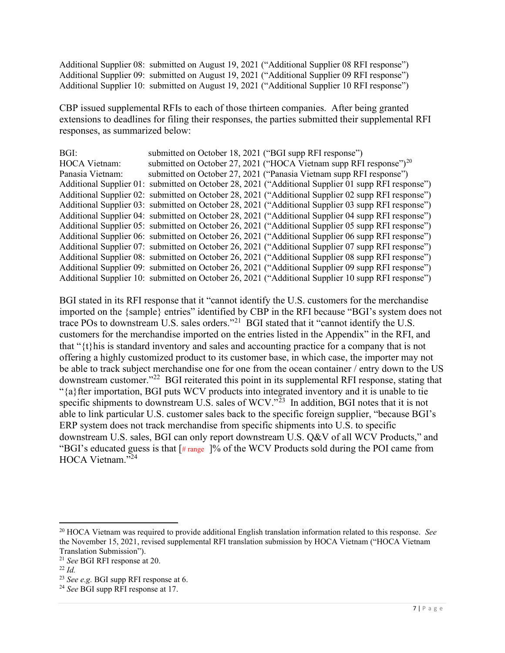Additional Supplier 08: submitted on August 19, 2021 ("Additional Supplier 08 RFI response") Additional Supplier 10: submitted on August 19, 2021 ("Additional Supplier 10 RFI response") Additional Supplier 09: submitted on August 19, 2021 ("Additional Supplier 09 RFI response")

 CBP issued supplemental RFIs to each of those thirteen companies. After being granted extensions to deadlines for filing their responses, the parties submitted their supplemental RFI responses, as summarized below:

| BGI:                 | submitted on October 18, 2021 ("BGI supp RFI response")                                            |
|----------------------|----------------------------------------------------------------------------------------------------|
| <b>HOCA Vietnam:</b> | submitted on October 27, 2021 ("HOCA Vietnam supp RFI response") <sup>20</sup>                     |
| Panasia Vietnam:     | submitted on October 27, 2021 ("Panasia Vietnam supp RFI response")                                |
|                      | Additional Supplier 01: submitted on October 28, 2021 ("Additional Supplier 01 supp RFI response") |
|                      | Additional Supplier 02: submitted on October 28, 2021 ("Additional Supplier 02 supp RFI response") |
|                      | Additional Supplier 03: submitted on October 28, 2021 ("Additional Supplier 03 supp RFI response") |
|                      | Additional Supplier 04: submitted on October 28, 2021 ("Additional Supplier 04 supp RFI response") |
|                      | Additional Supplier 05: submitted on October 26, 2021 ("Additional Supplier 05 supp RFI response") |
|                      | Additional Supplier 06: submitted on October 26, 2021 ("Additional Supplier 06 supp RFI response") |
|                      | Additional Supplier 07: submitted on October 26, 2021 ("Additional Supplier 07 supp RFI response") |
|                      | Additional Supplier 08: submitted on October 26, 2021 ("Additional Supplier 08 supp RFI response") |
|                      | Additional Supplier 09: submitted on October 26, 2021 ("Additional Supplier 09 supp RFI response") |
|                      | Additional Supplier 10: submitted on October 26, 2021 ("Additional Supplier 10 supp RFI response") |

 BGI stated in its RFI response that it "cannot identify the U.S. customers for the merchandise imported on the {sample} entries" identified by CBP in the RFI because "BGI's system does not trace POs to downstream U.S. sales orders."<sup>21</sup> BGI stated that it "cannot identify the U.S. customers for the merchandise imported on the entries listed in the Appendix" in the RFI, and that "{t}his is standard inventory and sales and accounting practice for a company that is not offering a highly customized product to its customer base, in which case, the importer may not be able to track subject merchandise one for one from the ocean container / entry down to the US downstream customer."<sup>22</sup> BGI reiterated this point in its supplemental RFI response, stating that "{a}fter importation, BGI puts WCV products into integrated inventory and it is unable to tie specific shipments to downstream U.S. sales of WCV."<sup>23</sup> In addition, BGI notes that it is not able to link particular U.S. customer sales back to the specific foreign supplier, "because BGI's ERP system does not track merchandise from specific shipments into U.S. to specific downstream U.S. sales, BGI can only report downstream U.S. Q&V of all WCV Products," and "BGI's educated guess is that [# range ]% of the WCV Products sold during the POI came from HOCA Vietnam."<sup>24</sup>

<sup>&</sup>lt;sup>20</sup> HOCA Vietnam was required to provide additional English translation information related to this response. See the November 15, 2021, revised supplemental RFI translation submission by HOCA Vietnam ("HOCA Vietnam Translation Submission").

<sup>&</sup>lt;sup>21</sup> See BGI RFI response at 20.

 $^{22}$  Id.

 $^{23}$  See e.g. BGI supp RFI response at 6.

<sup>&</sup>lt;sup>24</sup> See BGI supp RFI response at 17.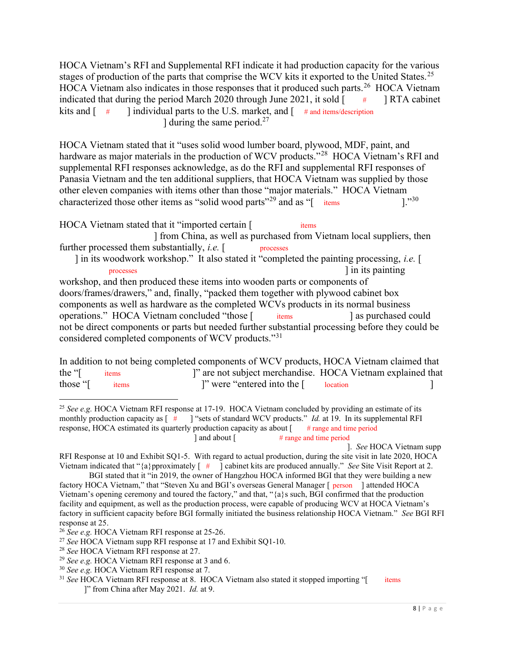HOCA Vietnam's RFI and Supplemental RFI indicate it had production capacity for the various stages of production of the parts that comprise the WCV kits it exported to the United [States.](https://States.25)<sup>25</sup> HOCA Vietnam also indicates in those responses that it produced such [parts.](https://parts.26)<sup>26</sup> HOCA Vietnam indicated that during the period March 2020 through June 2021, it sold  $\begin{bmatrix} & & \text{#} \\ & & \text{RTA} \end{bmatrix}$ kits and  $\lceil \quad \# \rceil$  $#$  RTA cabinet kits and [ # ] individual parts to the U.S. market, and [ # and items/description ] during the same [period.](https://period.27)<sup>27</sup>

 HOCA Vietnam stated that it "uses solid wood lumber board, plywood, MDF, paint, and hardware as major materials in the production of WCV products."<sup>28</sup> HOCA Vietnam's RFI and supplemental RFI responses acknowledge, as do the RFI and supplemental RFI responses of Panasia Vietnam and the ten additional suppliers, that HOCA Vietnam was supplied by those other eleven companies with items other than those "major materials." HOCA Vietnam characterized those other items as "solid wood parts"<sup>29</sup> and as "[ items  $\cdot$  ]."<sup>30</sup> items  $1.^{30}$ 

HOCA Vietnam stated that it "imported certain [ items ] from China, as well as purchased from Vietnam local suppliers, then further processed them substantially, *i.e.* [ processes ] in its woodwork workshop." It also stated it "completed the painting processing, *i.e.* [ workshop, and then produced these items into wooden parts or components of doors/frames/drawers," and, finally, "packed them together with plywood cabinet box components as well as hardware as the completed WCVs products in its normal business operations." HOCA Vietnam concluded "those [ items ] as purchased could not be direct components or parts but needed further substantial processing before they could be considered completed components of WCV products."31 items  $nrocesses$ xxxxxxx, xx xxx xxxxxxx, xxxxxxxxx, xxx xxxxx xxxxxxx, xxx. items arrival as purchased could processes ] in its painting

 In addition to not being completed components of WCV products, HOCA Vietnam claimed that the "[ items those "[ items ]" were "entered into the [ location ] ]" are not subject merchandise. HOCA Vietnam explained that

]. See HOCA Vietnam supp

<sup>&</sup>lt;sup>25</sup> See e.g. HOCA Vietnam RFI response at 17-19. HOCA Vietnam concluded by providing an estimate of its production capacity as  $[$  # response, HOCA estimated its quarterly production capacity as about [# range and time period  $#$  range and time period xxxxxxxx xx xxx xxxxx xxxxxxx xx IIII III xxxxxxxx xx III xxxxxxxx xx xxxx xx ] and about [ # range and time period l "sets of standard WCV products." Id. at 19. In its supplemental RFI

 RFI Response at 10 and Exhibit SQ1-5. With regard to actual production, during the site visit in late 2020, HOCA Vietnam indicated that " $\{a\}$  pproximately  $\begin{bmatrix} # \\ \end{bmatrix}$  cabinet kits are produced annually." See Site Visit Report at 2.

 BGI stated that it "in 2019, the owner of Hangzhou HOCA informed BGI that they were building a new factory HOCA Vietnam," that "Steven Xu and BGI's overseas General Manager [ person ] attended HOCA Vietnam's opening ceremony and toured the factory," and that, "{a}s such, BGI confirmed that the production facility and equipment, as well as the production process, were capable of producing WCV at HOCA Vietnam's factory in sufficient capacity before BGI formally initiated the business relationship HOCA Vietnam." See BGI RFI response at 25.

 $26$  See e.g. HOCA Vietnam RFI response at 25-26.

<sup>&</sup>lt;sup>27</sup> See HOCA Vietnam supp RFI response at 17 and Exhibit SQ1-10.

<sup>&</sup>lt;sup>28</sup> See HOCA Vietnam RFI response at 27.

 $29$  See e.g. HOCA Vietnam RFI response at 3 and 6.

<sup>&</sup>lt;sup>30</sup> See e.g. HOCA Vietnam RFI response at 7.

<sup>&</sup>lt;sup>31</sup> See HOCA Vietnam RFI response at 8. HOCA Vietnam also stated it stopped importing " $\sim$  items ]" from China after May 2021. Id. at 9. items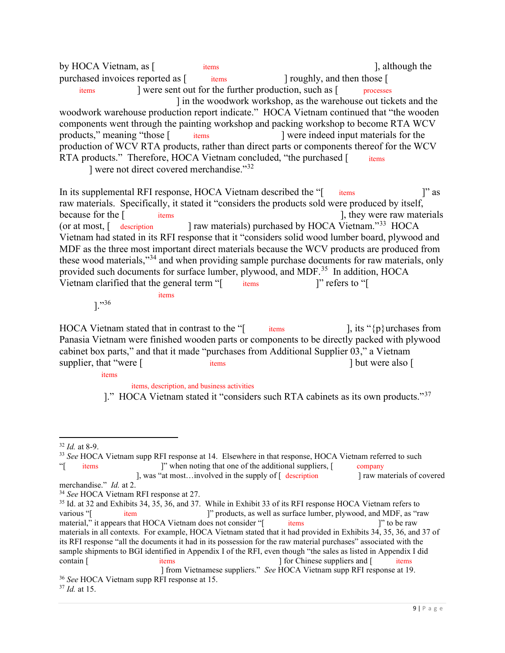by HOCA Vietnam, as [ items ], although the purchased invoices reported as [ items ] roughly, and then those [ woodwork warehouse production report indicate." HOCA Vietnam continued that "the wooden components went through the painting workshop and packing workshop to become RTA WCV products," meaning "those [ production of WCV RTA products, rather than direct parts or components thereof for the WCV RTA products." Therefore, HOCA Vietnam concluded, "the purchased [ items ] were not direct covered merchandise."32 xxxx-xxxxx xxxxxx (Cxxxxxx xxxxxxxxx "素板") "xxxx xxxxxx, xxx." xxxxitems ] were sent out for the further production, such as [ processes items items ] in the woodwork workshop, as the warehouse out tickets and the were indeed input materials for the

In its supplemental RFI response, HOCA Vietnam described the "[ items ]" as raw materials. Specifically, it stated it "considers the products sold were produced by itself, because for the [ at most,  $\int$  description Vietnam had stated in its RFI response that it "considers solid wood lumber board, plywood and MDF as the three most important direct materials because the WCV products are produced from these wood materials,"<sup>34</sup> and when providing sample purchase documents for raw materials, only provided such documents for surface lumber, plywood, and MDF.<sup>35</sup> In addition, HOCA Vietnam clarified that the general term "[ items ]" refers to "[ items  $\qquad$   $\qquad$   $\qquad$   $\qquad$   $\qquad$   $\qquad$   $\qquad$   $\qquad$   $\qquad$   $\qquad$   $\qquad$   $\qquad$   $\qquad$   $\qquad$   $\qquad$   $\qquad$   $\qquad$   $\qquad$   $\qquad$   $\qquad$   $\qquad$   $\qquad$   $\qquad$   $\qquad$   $\qquad$   $\qquad$   $\qquad$   $\qquad$   $\qquad$   $\qquad$   $\qquad$   $\qquad$   $\qquad$   $\qquad$   $\qquad$   $\qquad$ xxxx-xx xxxx xxxxxx xxx xxxxx/xxxxxx/xxxxxxx  $\frac{1}{2}$  items  $\frac{1}{2}$  refers to " because for the items  $\blacksquare$ , they were raw materials (c) raw materials) purchased by HOCA Vietnam."<sup>33</sup> HOCA

xxxxxx xxx xxxxx, xxxx xxxxx xxxxxx xxx xxxxxx, xx xxxx-xxxxxxxx xxxxxx xxx items

]."<sup>36</sup>

HOCA Vietnam stated that in contrast to the " $\lbrack$  items  $\rbrack$ , its " $\{p\}$ urchases from Panasia Vietnam were finished wooden parts or components to be directly packed with plywood cabinet box parts," and that it made "purchases from Additional Supplier 03," a Vietnam supplier, that "were [ items items ] but were also [ items  $\cdot$  7, its "{p} urchases from items 1 but were also [ xxxx xxxx xxx xxxxxxx xxx xxxxx xxxxxxxx xx HOCA Vxxxxxx, xxx xxxx xx xxx U.S.

items

items, description, and business activities

]." HOCA Vietnam stated it "considers such RTA cabinets as its own products."<sup>37</sup>

 $32$  *Id.* at 8-9.

<sup>&</sup>lt;sup>33</sup> See HOCA Vietnam supp RFI response at 14. Elsewhere in that response, HOCA Vietnam referred to such "[ items ]" when noting that one of the additional suppliers, [ company ], was "at most…involved in the supply of  $\left[$  description  $\right]$  raw materials of covered

merchandise." Id. at 2.

<sup>&</sup>lt;sup>34</sup> See HOCA Vietnam RFI response at 27.

<sup>&</sup>lt;sup>35</sup> Id. at 32 and Exhibits 34, 35, 36, and 37. While in Exhibit 33 of its RFI response HOCA Vietnam refers to material," it appears that HOCA Vietnam does not consider "[ items ]" to be raw materials in all contexts. For example, HOCA Vietnam stated that it had provided in Exhibits 34, 35, 36, and 37 of its RFI response "all the documents it had in its possession for the raw material purchases" associated with the sample shipments to BGI identified in Appendix I of the RFI, even though "the sales as listed in Appendix I did ] from Vietnamese suppliers." See HOCA Vietnam supp RFI response at 19. xxxx-xxx xxxxx xxxxxx xxxxx  $\frac{1}{x}$  items  $\frac{1}{x}$  items contain [ items items ] for Chinese suppliers and [ items ] various "[ item  $\qquad$  ]" products, as well as surface lumber, plywood, and MDF, as "raw

<sup>&</sup>lt;sup>36</sup> See HOCA Vietnam supp RFI response at 15.

 $37$  *Id.* at 15.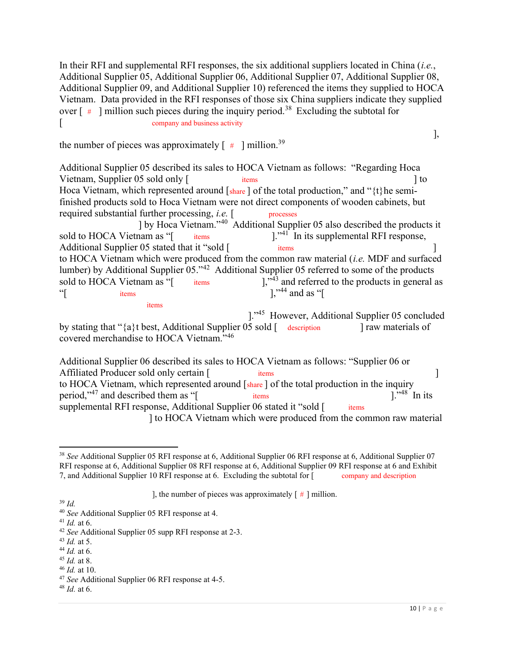In their RFI and supplemental RFI responses, the six additional suppliers located in China (i.e., Additional Supplier 05, Additional Supplier 06, Additional Supplier 07, Additional Supplier 08, Additional Supplier 09, and Additional Supplier 10) referenced the items they supplied to HOCA Vietnam. Data provided in the RFI responses of those six China suppliers indicate they supplied over  $\left[$  # ] million such pieces during the inquiry [period.](https://period.38)<sup>38</sup> Excluding the subtotal for [ company and business activity

the number of pieces was approximately  $[$   $\#$  ] [million.](https://million.39)<sup>39</sup>

 Additional Supplier 05 described its sales to HOCA Vietnam as follows: "Regarding Hoca Vietnam, Supplier 05 sold only [ items ] to Hoca Vietnam, which represented around [share] of the total production," and "{t}he semi- finished products sold to Hoca Vietnam were not direct components of wooden cabinets, but required substantial further processing, *i.e.* [ processes sold to HOCA Vietnam as "[ Additional Supplier 05 stated that it "sold [ items ] to HOCA Vietnam which were produced from the common raw material  $(i.e.$  MDF and surfaced lumber) by Additional Supplier 05."<sup>42</sup> Additional Supplier 05 referred to some of the products sold to HOCA Vietnam as "[ xxxx-xxxxxx xx xxxxxxx, xxxxx, xxx xxxxx xxxxxx processes items  $i$ tems items xxxx-xxxxxx xx xxxxxxx/xxxx/xxxxxx xxxxxx xxxx-xxxxxxxx xxxxxx xx "[ items ],"<sup>44</sup> and as "[  $x \times x \times x$  items ] by Hoca Vietnam."<sup>40</sup> Additional Supplier 05 also described the products it  $\mathbb{R}^{3,41}$  In its supplemental RFI response,  $1.^{943}$  and referred to the products in general as items ]."45 However, Additional Supplier 05 concluded

by stating that "{a}t best, Additional Supplier 05 sold [ description ] raw materials of covered merchandise to HOCA Vietnam."<sup>46</sup>

 Additional Supplier 06 described its sales to HOCA Vietnam as follows: "Supplier 06 or Affiliated Producer sold only certain [ items ] to HOCA Vietnam, which represented around [share] of the total production in the inquiry period,"<sup>47</sup> and described them as "[ items ]."<sup>48</sup> In its supplemental RFI response, Additional Supplier 06 stated it "sold [ items ] to HOCA Vietnam which were produced from the common raw material xxxx-xxxxx xxx xxxxxx xxx xxxxx/xxxxxx/xxxxxxx  $x \times y \times z \times x$ items

<sup>39</sup> Id.

 $41$  *Id.* at 6.

- $43$  *Id.* at 5.
- $44$  *Id.* at 6.
- $45$  *Id.* at 8.
- $46$  *Id.* at 10.

],

 $38$  See Additional Supplier 05 RFI response at 6, Additional Supplier 06 RFI response at 6, Additional Supplier 07 RFI response at 6, Additional Supplier 08 RFI response at 6, Additional Supplier 09 RFI response at 6 and Exhibit 7, and Additional Supplier 10 RFI response at 6. Excluding the subtotal for [ company and description company and description

<sup>],</sup> the number of pieces was approximately  $\lceil # \rceil$  million.

<sup>&</sup>lt;sup>40</sup> See Additional Supplier 05 RFI response at 4.

<sup>&</sup>lt;sup>42</sup> See Additional Supplier 05 supp RFI response at 2-3.

 $47$  See Additional Supplier 06 RFI response at 4-5.

 $48$  *Id.* at 6.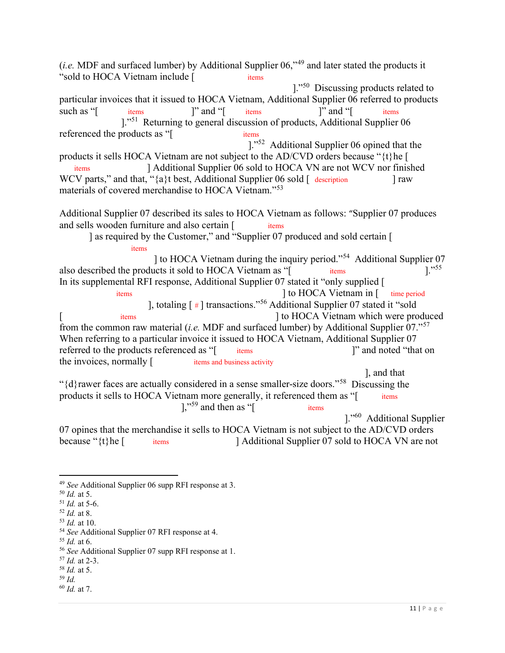(*i.e.* MDF and surfaced lumber) by Additional Supplier  $06,$ <sup> $49$ </sup> and later stated the products it "sold to HOCA Vietnam include [ items particular invoices that it issued to HOCA Vietnam, Additional Supplier 06 referred to products such as "[ items ]" and "[ items ]" and "[ items referenced the products as "[ items products it sells HOCA Vietnam are not subject to the AD/CVD orders because "{t}he [ WCV parts," and that, " ${a}$ t best, Additional Supplier 06 sold  $\lceil$  description ] raw materials of covered merchandise to HOCA Vietnam."<sup>53</sup> Additional Supplier 07 described its sales to HOCA Vietnam as follows: "Supplier 07 produces and sells wooden furniture and also certain [items ] as required by the Customer," and "Supplier 07 produced and sold certain [ ] to HOCA Vietnam during the inquiry period."<sup>54</sup> Additional Supplier 07 also described the products it sold to HOCA Vietnam as "[ items ]."<sup>55</sup> In its supplemental RFI response, Additional Supplier 07 stated it "only supplied [ from the common raw material (*i.e.* MDF and surfaced lumber) by Additional Supplier 07."<sup>57</sup> When referring to a particular invoice it issued to HOCA Vietnam, Additional Supplier 07 referred to the products referenced as "[ items ]" and noted "that on the invoices, normally [ items and business activity " $\{d\}$ rawer faces are actually considered in a sense smaller-size doors."<sup>58</sup> Discussing the products it sells to HOCA Vietnam more generally, it referenced them as "[ items 07 opines that the merchandise it sells to HOCA Vietnam is not subject to the AD/CVD orders because " $\{t\}$ he  $\lceil$  $x \times x \times x$  xxx $x \times x \times x$  $x \text{ times}$   $y \text{ and } y \text{ times}$   $y \text{ and } y \text{ times}$   $y \text{ and } y \text{ times}$ xxxx-xxxxxxxx x xxx xxx xxxxx, xxxx-xxxxxxxx xxxxx xxx xxx xxxxx xxxxxx  $x \times x \times x$ items items items  $1.^{1.55}$ items  $\begin{array}{ccc} \text{items} & \text{if} & \text{if} & \text{if} & \text{if} & \text{if} & \text{if} & \text{if} & \text{if} & \text{if} & \text{if} & \text{if} & \text{if} & \text{if} & \text{if} & \text{if} & \text{if} & \text{if} & \text{if} & \text{if} & \text{if} & \text{if} & \text{if} & \text{if} & \text{if} & \text{if} & \text{if} & \text{if} & \text{if} & \text{if} & \text{if} & \text{if} & \text{if} & \text{if} & \text{if$ items **xxx** xxxx xxxxxxx xxxxxx xxxxxx items and business activity items  $],$   $\frac{1}{2}$  and then as "[ items items 1."<sup>50</sup> Discussing products related to 1."<sup>51</sup> Returning to general discussion of products, Additional Supplier 06 ]."52 Additional Supplier 06 opined that the ] Additional Supplier 06 sold to HOCA VN are not WCV nor finished ], totaling [ # ] transactions."<sup>56</sup> Additional Supplier 07 stated it "sold [ items items ] to HOCA Vietnam which were produced ], and that 1."<sup>60</sup> Additional Supplier Additional Supplier 07 sold to HOCA VN are not

- $52$  *Id.* at 8.
- $53$  *Id.* at 10.

 $55$  *Id.* at 6.

 $58$  *Id.* at 5.

<sup>&</sup>lt;sup>49</sup> See Additional Supplier 06 supp RFI response at 3.

 $50$  *Id.* at 5.

 $51$  *Id.* at 5-6.

<sup>&</sup>lt;sup>54</sup> See Additional Supplier 07 RFI response at 4.

<sup>&</sup>lt;sup>56</sup> See Additional Supplier 07 supp RFI response at 1.

<sup>&</sup>lt;sup>57</sup> *Id.* at 2-3.

 <sup>59</sup> Id.

 $60$  *Id.* at 7.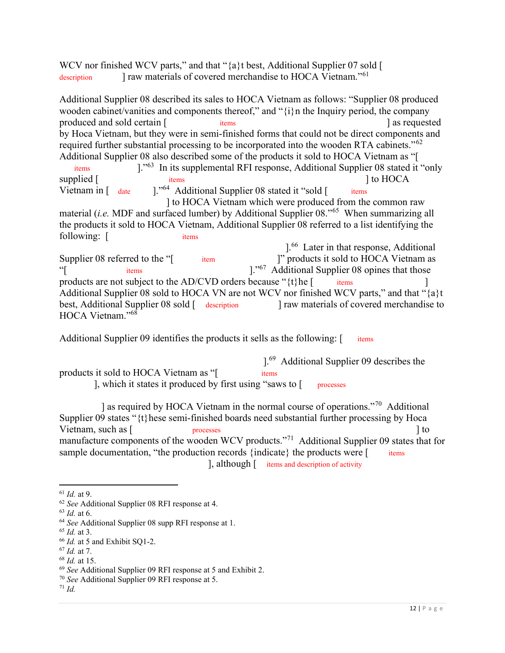WCV nor finished WCV parts," and that "{a}t best, Additional Supplier 07 sold [ description 1 raw materials of covered merchandise to HOCA Vietnam."<sup>61</sup>

 Additional Supplier 08 described its sales to HOCA Vietnam as follows: "Supplier 08 produced wooden cabinet/vanities and components thereof," and "{i}n the Inquiry period, the company produced and sold certain [ items items ] as requested by Hoca Vietnam, but they were in semi-finished forms that could not be direct components and required further substantial processing to be incorporated into the wooden RTA cabinets."<sup>62</sup> Additional Supplier 08 also described some of the products it sold to HOCA Vietnam as "[ xxxx-xxxxxx x xxxxx, xxxxxx, xxx xxxxxx xxxxxx

Vietnam in [ date items xxxx-xxxxxxxx x xx xxx xxxxx, xxx xxxxxx, xxx xxx xxxxxxx Vietnam in [ date ]."<sup>64</sup> Additional Supplier 08 stated it "sold [ items  $1.^{63}$  In its supplemental RFI response, Additional Supplier 08 stated it "only" supplied [ items  $\qquad \qquad$  items  $\qquad \qquad$  ] to HOCA

 ] to HOCA Vietnam which were produced from the common raw material (i.e. MDF and surfaced lumber) by Additional Supplier 08."<sup>65</sup> When summarizing all the products it sold to HOCA Vietnam, Additional Supplier 08 referred to a list identifying the following: [ items xxxxx (xxxx); xxxxxx (xxxx); xxxx (xxx); xxx (xxx); xxx (xxx); xxx (xxx); xxx (xxx); xxx (xxx); xxx

Supplier 08 referred to the "[ products are not subject to the AD/CVD orders because " $\{t\}$ he  $[$  items  $]$  Additional Supplier 08 sold to HOCA VN are not WCV nor finished WCV parts," and that "{a}t best, Additional Supplier 08 sold [ description ] raw materials of covered merchandise to HOCA Vietnam."<sup>68</sup>  $x \times x \times x$  xxx $x \times x \times x$  $x \times y \times x \times x$ items ].<sup>66</sup> Later in that response, Additional item [  $\degree$  products it sold to HOCA Vietnam as "<br>
<sup>"</sup>[ items items  $]$ ."<sup>67</sup> Additional Supplier 08 opines that those

Additional Supplier 09 identifies the products it sells as the following: [ items items

products it sold to HOCA Vietnam as "[ ], which it states it produced by first using "saws to [ processes items xxx xxx xxx xxx xxx ].<sup>69</sup> Additional Supplier 09 describes the

 Supplier 09 states "{t}hese semi-finished boards need substantial further processing by Hoca Vietnam, such as [ processes  $\qquad$  ] to manufacture components of the wooden WCV products."<sup>71</sup> Additional Supplier 09 states that for sample documentation, "the production records {indicate} the products were  $[$  items xxxxxxxx, xxx xxxx, xxxxxxxx xxx xxxxxxxxx, xxxxxxxx, xxx. items  $\mathbf{R}$ , although  $\mathbf{R}$  items and description of activity ] as required by HOCA Vietnam in the normal course of operations."<sup>70</sup> Additional

 $61$  *Id.* at 9.

 $62$  See Additional Supplier 08 RFI response at 4.

 $63$  *Id.* at 6.

 $64$  See Additional Supplier 08 supp RFI response at 1.

<sup>&</sup>lt;sup>65</sup> *Id.* at 3.

<sup>&</sup>lt;sup>66</sup> Id. at 5 and Exhibit SQ1-2.

 $67$  *Id.* at 7.

<sup>&</sup>lt;sup>68</sup> Id. at 15.

 $69$  See Additional Supplier 09 RFI response at 5 and Exhibit 2.

 $70$  See Additional Supplier 09 RFI response at 5.

 $171$  *Id.*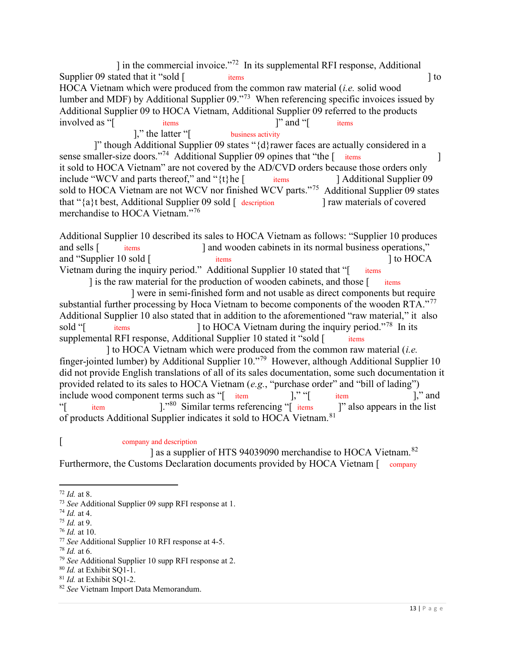] in the commercial invoice."<sup>72</sup> In its supplemental RFI response, Additional Supplier 09 stated that it "sold [ items ] to HOCA Vietnam which were produced from the common raw material (*i.e.* solid wood lumber and MDF) by Additional Supplier 09."<sup>73</sup> When referencing specific invoices issued by Additional Supplier 09 to HOCA Vietnam, Additional Supplier 09 referred to the products involved as "[ items items ]" and "[ items items xxxx-xxxxx xxx xxxxxx xxx xxxxxx xxx xx xx-xxxxxxxx xxxxxx ]," the latter " $[$  business activity

 ]" though Additional Supplier 09 states "{d}rawer faces are actually considered in a sense smaller-size doors."<sup>74</sup> Additional Supplier 09 opines that "the [ items ] it sold to HOCA Vietnam" are not covered by the AD/CVD orders because those orders only include "WCV and parts thereof," and "{t}he [items ] Additional Supplier 09 sold to HOCA Vietnam are not WCV nor finished WCV parts."<sup>75</sup> Additional Supplier 09 states that "{a}t best, Additional Supplier 09 sold [ description ] raw materials of covered merchandise to HOCA Vietnam."<sup>76</sup> items 1 Additional Supplier 09

 Additional Supplier 10 described its sales to HOCA Vietnam as follows: "Supplier 10 produces and sells [ and "Supplier 10 sold [ items ] to HOCA Vietnam during the inquiry period." Additional Supplier 10 stated that "[ items ] is the raw material for the production of wooden cabinets, and those [ items items xxxxx xxxxxxx xx xxx xxxx-xxxxxxxx xxxxxx xxxxxx items and wooden cabinets in its normal business operations,"

substantial further processing by Hoca Vietnam to become components of the wooden RTA."<sup>77</sup> Additional Supplier 10 also stated that in addition to the aforementioned "raw material," it also supplemental RFI response, Additional Supplier 10 stated it "sold [ items xxxx-x xxxxxxx xxxxxx items ] were in semi-finished form and not usable as direct components but require l to HOCA Vietnam during the inquiry period."<sup>78</sup> In its

finger-jointed lumber) by Additional Supplier  $10.^{79}$  However, although Additional Supplier 10 did not provide English translations of all of its sales documentation, some such documentation it provided related to its sales to HOCA Vietnam (e.g., "purchase order" and "bill of lading") include wood component terms such as "[ item ]," "[ item ]," and item of products Additional Supplier indicates it sold to HOCA [Vietnam.](https://Vietnam.81)<sup>81</sup> "[ item 1."80 Similar terms referencing "[ items ]" also appears in the list ] to HOCA Vietnam which were produced from the common raw material (i.e.

## [ company and description **company** and description

Furthermore, the Customs Declaration documents provided by HOCA Vietnam [ company l as a supplier of HTS 94039090 merchandise to HOCA [Vietnam.](https://Vietnam.82)<sup>82</sup>

 $78$  *Id.* at 6.

 $72$  *Id.* at 8.

<sup>&</sup>lt;sup>73</sup> See Additional Supplier 09 supp RFI response at 1.

 $74$  *Id.* at 4.

 $75$  *Id.* at 9.

 $76$  *Id.* at 10.

<sup>&</sup>lt;sup>77</sup> See Additional Supplier 10 RFI response at 4-5.

 $79$  See Additional Supplier 10 supp RFI response at 2.

<sup>&</sup>lt;sup>80</sup> Id. at Exhibit SQ1-1.

<sup>&</sup>lt;sup>81</sup> Id. at Exhibit SQ1-2.

<sup>&</sup>lt;sup>82</sup> See Vietnam Import Data Memorandum.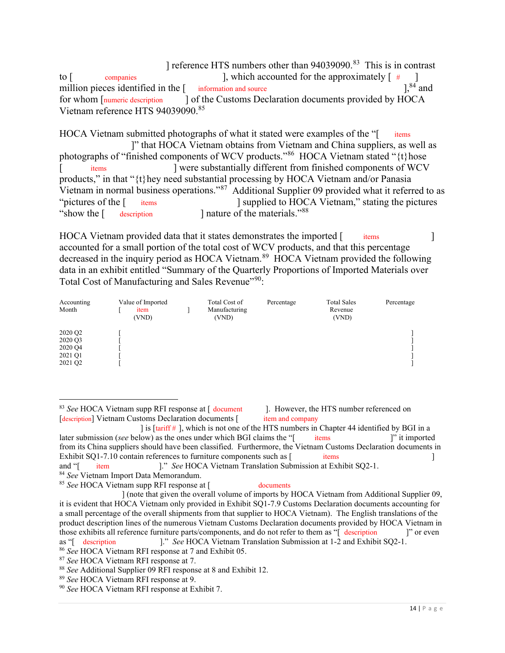to  $\lceil$ million pieces identified in the  $[$  information and source  $]$ ,  ${}^{84}$  and for whom [numeric description] Vietnam reference HTS [94039090.](https://94039090.85)85 to  $\lceil$  companies  $\lceil$ , which accounted for the approximately  $\lceil$  #  $\rceil$ information and source  $\int_0^{84}$  and ] reference HTS numbers other than [94039090.](https://94039090.83)<sup>83</sup> This is in contrast J of the Customs Declaration documents provided by HOCA

HOCA Vietnam submitted photographs of what it stated were examples of the "[ items photographs of "finished components of WCV products."<sup>86</sup> HOCA Vietnam stated "{t}hose products," in that "{t}hey need substantial processing by HOCA Vietnam and/or Panasia Vietnam in normal business operations."<sup>87</sup> Additional Supplier 09 provided what it referred to as "pictures of the [ "show the [ items xxxx-x xxxxxxx xxxxxx items description ]" that HOCA Vietnam obtains from Vietnam and China suppliers, as well as l were substantially different from finished components of WCV ] supplied to HOCA Vietnam," stating the pictures I nature of the materials."<sup>88</sup>

HOCA Vietnam provided data that it states demonstrates the imported [ items ] accounted for a small portion of the total cost of WCV products, and that this percentage decreased in the inquiry period as HOCA [Vietnam.](https://Vietnam.89)<sup>89</sup> HOCA Vietnam provided the following data in an exhibit entitled "Summary of the Quarterly Proportions of Imported Materials over Total Cost of Manufacturing and Sales Revenue"<sup>90</sup>:  $i$ tems  $\qquad$   $\qquad$   $\qquad$   $\qquad$ 

| Accounting<br>Month                                 | Value of Imported<br>item<br>(VND) | Total Cost of<br>Manufacturing<br>(VND) | Percentage | <b>Total Sales</b><br>Revenue<br>(VND) | Percentage |
|-----------------------------------------------------|------------------------------------|-----------------------------------------|------------|----------------------------------------|------------|
| 2020 Q2<br>2020 Q3<br>2020 Q4<br>2021 Q1<br>2021 Q2 |                                    |                                         |            |                                        |            |

<sup>&</sup>lt;sup>83</sup> See HOCA Vietnam supp RFI response at  $\lceil$  document  $\lceil$  l. However, the HTS number referenced on [description] Vietnam Customs Declaration documents [item and company item and company

documents

later submission (see below) as the ones under which BGI claims the "[ items ]" it imported from its China suppliers should have been classified. Furthermore, the Vietnam Customs Declaration documents in Exhibit [SQ1-7.10](https://SQ1-7.10) contain references to furniture components such as [ items ] and "[  $\,$  ] is [tariff  $\#$  ], which is not one of the HTS numbers in Chapter 44 identified by BGI in a items  $\qquad$  it imported xxxxx xx xx xxxxxxx xxxxxx xxxxxx item ]." See HOCA Vietnam Translation Submission at Exhibit SQ2-1.

<sup>84</sup> See Vietnam Import Data Memorandum.

<sup>&</sup>lt;sup>85</sup> See HOCA Vietnam supp RFI response at [ documents

 it is evident that HOCA Vietnam only provided in Exhibit SQ1-7.9 Customs Declaration documents accounting for a small percentage of the overall shipments from that supplier to HOCA Vietnam). The English translations of the product description lines of the numerous Vietnam Customs Declaration documents provided by HOCA Vietnam in those exhibits all reference furniture parts/components, and do not refer to them as "[ description ]" or even as "[ description ]." See HOCA Vietnam Translation Submission at 1-2 and Exhibit SQ2-1. as "[ description ] (note that given the overall volume of imports by HOCA Vietnam from Additional Supplier 09,

<sup>&</sup>lt;sup>86</sup> See HOCA Vietnam RFI response at 7 and Exhibit 05.

<sup>87</sup> See HOCA Vietnam RFI response at 7.

<sup>88</sup> See Additional Supplier 09 RFI response at 8 and Exhibit 12.

<sup>89</sup> See HOCA Vietnam RFI response at 9.

<sup>&</sup>lt;sup>90</sup> See HOCA Vietnam RFI response at Exhibit 7.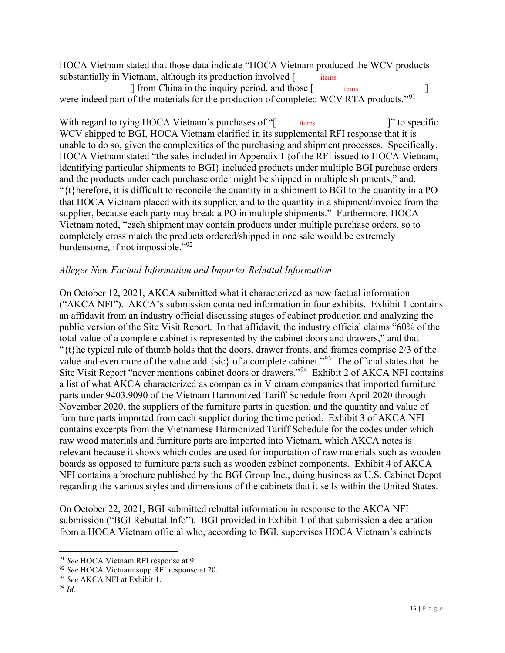HOCA Vietnam stated that those data indicate "HOCA Vietnam produced the WCV products substantially in Vietnam, although its production involved [items items

were indeed part of the materials for the production of completed WCV RTA products."<sup>91</sup> ] from China in the inquiry period, and those [ items ]

With regard to tying HOCA Vietnam's purchases of "[ items ]" to specific WCV shipped to BGI, HOCA Vietnam clarified in its supplemental RFI response that it is unable to do so, given the complexities of the purchasing and shipment processes. Specifically, HOCA Vietnam stated "the sales included in Appendix I {of the RFI issued to HOCA Vietnam, identifying particular shipments to BGI} included products under multiple BGI purchase orders and the products under each purchase order might be shipped in multiple shipments," and, " $\{t\}$  herefore, it is difficult to reconcile the quantity in a shipment to BGI to the quantity in a PO that HOCA Vietnam placed with its supplier, and to the quantity in a shipment/invoice from the supplier, because each party may break a PO in multiple shipments." Furthermore, HOCA Vietnam noted, "each shipment may contain products under multiple purchase orders, so to completely cross match the products ordered/shipped in one sale would be extremely burdensome, if not impossible."<sup>92</sup>  $\frac{1}{x}$  items  $\frac{1}{x}$  items

# Alleger New Factual Information and Importer Rebuttal Information

 On October 12, 2021, AKCA submitted what it characterized as new factual information ("AKCA NFI"). AKCA's submission contained information in four exhibits. Exhibit 1 contains an affidavit from an industry official discussing stages of cabinet production and analyzing the public version of the Site Visit Report. In that affidavit, the industry official claims "60% of the total value of a complete cabinet is represented by the cabinet doors and drawers," and that " $\{t\}$ he typical rule of thumb holds that the doors, drawer fronts, and frames comprise 2/3 of the value and even more of the value add {sic} of a complete cabinet."<sup>93</sup> The official states that the Site Visit Report "never mentions cabinet doors or drawers."<sup>94</sup> Exhibit 2 of AKCA NFI contains a list of what AKCA characterized as companies in Vietnam companies that imported furniture parts under 9403.9090 of the Vietnam Harmonized Tariff Schedule from April 2020 through November 2020, the suppliers of the furniture parts in question, and the quantity and value of furniture parts imported from each supplier during the time period. Exhibit 3 of AKCA NFI contains excerpts from the Vietnamese Harmonized Tariff Schedule for the codes under which raw wood materials and furniture parts are imported into Vietnam, which AKCA notes is relevant because it shows which codes are used for importation of raw materials such as wooden boards as opposed to furniture parts such as wooden cabinet components. Exhibit 4 of AKCA NFI contains a brochure published by the BGI Group Inc., doing business as U.S. Cabinet Depot regarding the various styles and dimensions of the cabinets that it sells within the United States.

 On October 22, 2021, BGI submitted rebuttal information in response to the AKCA NFI submission ("BGI Rebuttal Info"). BGI provided in Exhibit 1 of that submission a declaration from a HOCA Vietnam official who, according to BGI, supervises HOCA Vietnam's cabinets

<sup>&</sup>lt;sup>91</sup> See HOCA Vietnam RFI response at 9.

 $92$  See HOCA Vietnam supp RFI response at 20.

<sup>93</sup> See AKCA NFI at Exhibit 1.

 <sup>94</sup> Id.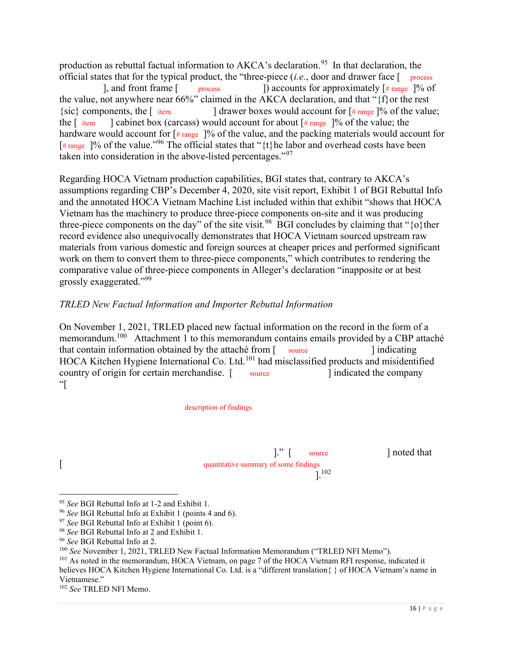production as rebuttal factual information to AKCA's [declaration.](https://declaration.95)<sup>95</sup> In that declaration, the official states that for the typical product, the "three-piece  $(i.e.,$  door and drawer face  $\lceil$  process

 the value, not anywhere near 66%" claimed in the AKCA declaration, and that "{f}or the rest the  $\left[$  item the  $\lceil$  item hardware would account for  $\lceil \# \text{range} \rceil$ % of the value, and the packing materials would account for [# range ]% of the value."<sup>96</sup> The official states that "{t}he labor and overhead costs have been taken into consideration in the above-listed percentages."97 ], and front frame  $\lbrack$  process  $\lbrack$  accounts for approximately  $\lbrack$   $\#$  range  $\rbrack$ % of the  $\lceil$  item a left cabinet box (carcass) would account for about  $\lceil$  # range 1% of the value; the  $\frac{1}{3}$  drawer boxes would account for  $\frac{1}{4}$  range  $\frac{1}{6}$  of the value;

 Regarding HOCA Vietnam production capabilities, BGI states that, contrary to AKCA's assumptions regarding CBP's December 4, 2020, site visit report, Exhibit 1 of BGI Rebuttal Info and the annotated HOCA Vietnam Machine List included within that exhibit "shows that HOCA Vietnam has the machinery to produce three-piece components on-site and it was producing three-piece components on the day" of the site [visit.](https://visit.98)<sup>98</sup> BGI concludes by claiming that " $\{o\}$ ther record evidence also unequivocally demonstrates that HOCA Vietnam sourced upstream raw materials from various domestic and foreign sources at cheaper prices and performed significant work on them to convert them to three-piece components," which contributes to rendering the comparative value of three-piece components in Alleger's declaration "inapposite or at best grossly exaggerated."<sup>99</sup>

#### TRLED New Factual Information and Importer Rebuttal Information

 On November 1, 2021, TRLED placed new factual information on the record in the form of a memorandum.<sup>100</sup> Attachment 1 to this memorandum contains emails provided by a CBP attaché that contain information obtained by the attaché from [ source ] indicating HOCA Kitchen Hygiene International Co. Ltd.<sup>101</sup> had misclassified products and misidentified country of origin for certain merchandise. [ source ] indicated the company source and indicated the company  $\mathcal{C}$ 

description of findings

 $\cdot\cdot\cdot$   $\cdot\cdot\cdot$   $\cdot\cdot\cdot$   $\cdot\cdot\cdot$   $\cdot\cdot\cdot$   $\cdot\cdot\cdot$   $\cdot\cdot\cdot$   $\cdot\cdot\cdot$   $\cdot\cdot\cdot$   $\cdot\cdot\cdot$   $\cdot\cdot\cdot$   $\cdot\cdot\cdot$   $\cdot\cdot\cdot$   $\cdot\cdot\cdot$   $\cdot\cdot\cdot$   $\cdot\cdot\cdot$   $\cdot\cdot\cdot$   $\cdot\cdot\cdot$   $\cdot\cdot\cdot$   $\cdot\cdot\cdot$   $\cdot\cdot\cdot$   $\cdot\cdot\cdot$   $\cdot\cdot\cdot$   $\cdot\cdot\cdot$   $\cdot\cdot$ [ quantitative summary of some findings  $\bigg]$ . 102

]." [ source ] noted that

<sup>95</sup> See BGI Rebuttal Info at 1-2 and Exhibit 1.

<sup>&</sup>lt;sup>96</sup> See BGI Rebuttal Info at Exhibit 1 (points 4 and 6).

 $97$  See BGI Rebuttal Info at Exhibit 1 (point 6).

<sup>&</sup>lt;sup>98</sup> See BGI Rebuttal Info at 2 and Exhibit 1.

<sup>99</sup> See BGI Rebuttal Info at 2.

<sup>&</sup>lt;sup>100</sup> See November 1, 2021, TRLED New Factual Information Memorandum ("TRLED NFI Memo").

<sup>&</sup>lt;sup>101</sup> As noted in the memorandum, HOCA Vietnam, on page 7 of the HOCA Vietnam RFI response, indicated it believes HOCA Kitchen Hygiene International Co. Ltd. is a "different translation{ } of HOCA Vietnam's name in Vietnamese."

<sup>&</sup>lt;sup>102</sup> See TRLED NFI Memo.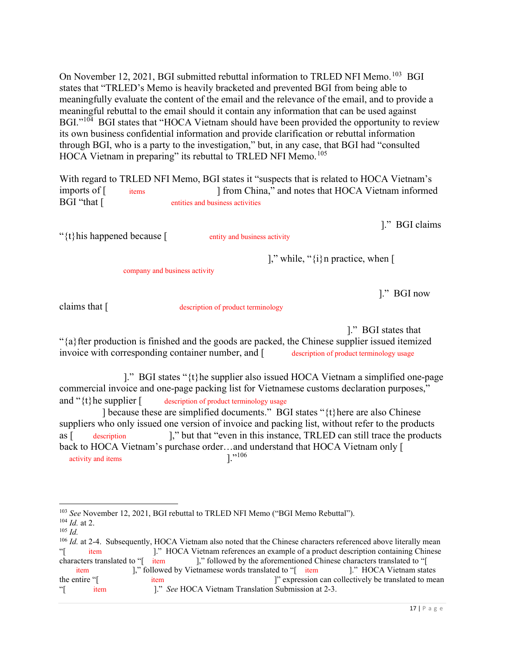On November 12, 2021, BGI submitted rebuttal information to TRLED NFI Memo.<sup>103</sup> BGI states that "TRLED's Memo is heavily bracketed and prevented BGI from being able to meaningfully evaluate the content of the email and the relevance of the email, and to provide a meaningful rebuttal to the email should it contain any information that can be used against BGI."<sup>104</sup> BGI states that "HOCA Vietnam should have been provided the opportunity to review its own business confidential information and provide clarification or rebuttal information through BGI, who is a party to the investigation," but, in any case, that BGI had "consulted HOCA Vietnam in preparing" its rebuttal to TRLED NFI Memo.<sup>105</sup>

 With regard to TRLED NFI Memo, BGI states it "suspects that is related to HOCA Vietnam's imports of  $\lceil$ BGI "that [ items BGI "that [ entities and business activities 1 from China," and notes that HOCA Vietnam informed

]." BGI claims

" $\{t\}$ his happened because  $\lceil$  entity and business activity

entity and business activity

]," while, " $\{i\}$ n practice, when [

company and business activity

]." BGI now

claims that  $\lceil$ 

claims that [ description of product terminology

]." BGI states that

 "{a}fter production is finished and the goods are packed, the Chinese supplier issued itemized invoice with corresponding container number, and [description of product terminology usage description of product terminology usage

 commercial invoice and one-page packing list for Vietnamese customs declaration purposes," and " $\{t\}$ he supplier [ and "{t}he supplier [ description of product terminology usage ]." BGI states "{t}he supplier also issued HOCA Vietnam a simplified one-page

 ] because these are simplified documents." BGI states "{t}here are also Chinese suppliers who only issued one version of invoice and packing list, without refer to the products as [ description ]," but that "even in this instance, TRLED can still trace the products back to HOCA Vietnam's purchase order…and understand that HOCA Vietnam only [ activity and items  $\left| \cdot \right\rangle^{106}$  $\text{as } \lceil$  description

<sup>&</sup>lt;sup>103</sup> See November 12, 2021, BGI rebuttal to TRLED NFI Memo ("BGI Memo Rebuttal").

 $104$  *Id.* at 2.

 $105$  *Id.*  $106$  Id. at 2-4. Subsequently, HOCA Vietnam also noted that the Chinese characters referenced above literally mean characters translated to "[item] the entire "[ item characters translated to "[ item ]," followed by the aforementioned Chinese characters translated to "[ item [," followed by Vietnamese words translated to "[ item ]." HOCA Vietnam states  $x \times x \times x$  item  $\mathcal{L}$  item  $\lbrack$ ." HOCA Vietnam references an example of a product description containing Chinese the entire item  $"$  expression can collectively be translated to mean 1." See HOCA Vietnam Translation Submission at 2-3.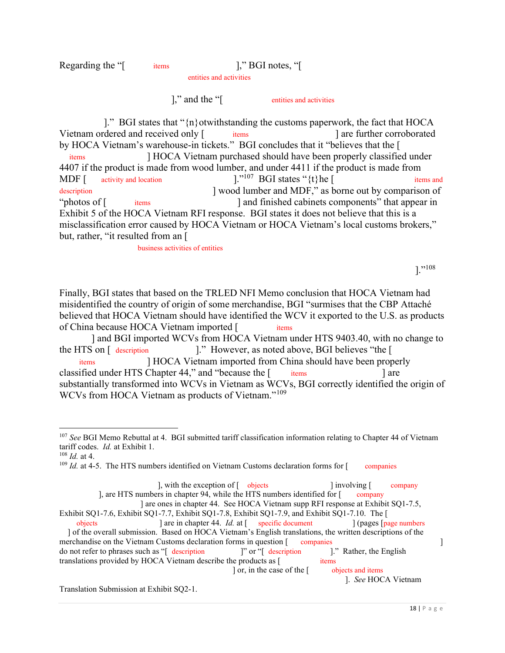#### Regarding the "[ items ]," BGI notes, "[  $\mathcal{X}$  items  $\mathcal{X}$   $\mathcal{X}$   $\mathcal{X}$   $\mathcal{X}$   $\mathcal{Y}$   $\mathcal{Y}$   $\mathcal{Y}$   $\mathcal{Y}$   $\mathcal{Y}$   $\mathcal{Y}$   $\mathcal{Y}$   $\mathcal{Y}$   $\mathcal{Y}$   $\mathcal{Y}$   $\mathcal{Y}$   $\mathcal{Y}$   $\mathcal{Y}$   $\mathcal{Y}$   $\mathcal{Y}$   $\mathcal{Y}$   $\mathcal{Y}$   $\mathcal{Y}$   $\mathcal{Y}$ entities and activities

 $\mathbf{R}$ ," and the "[ entities and activities

 ]." BGI states that "{n}otwithstanding the customs paperwork, the fact that HOCA Vietnam ordered and received only [ items ] are further corroborated by HOCA Vietnam's warehouse-in tickets." BGI concludes that it "believes that the [ 4407 if the product is made from wood lumber, and under 4411 if the product is made from activity and location "photos of  $\lceil$  Exhibit 5 of the HOCA Vietnam RFI response. BGI states it does not believe that this is a misclassification error caused by HOCA Vietnam or HOCA Vietnam's local customs brokers," but, rather, "it resulted from an [ xxxx-x xxxxxxx xxxxxxxxxx items MDF  $\lceil$  activity and location  $\lceil$ ."<sup>107</sup> BGI states "{t}he  $\lceil$  items and xxxx-x xxxxxxx xxxxxxxxxx I HOCA Vietnam purchased should have been properly classified under description and MDF," as borne out by comparison of  $\lim_{n \to \infty}$  and finished cabinets components" that appear in

business activities of entities

]."<sup>108</sup>

 Finally, BGI states that based on the TRLED NFI Memo conclusion that HOCA Vietnam had misidentified the country of origin of some merchandise, BGI "surmises that the CBP Attaché believed that HOCA Vietnam should have identified the WCV it exported to the U.S. as products of China because HOCA Vietnam imported [items xxxx-xxx xxxxx xxxxxxxxxx xxxxx HTS

 ] and BGI imported WCVs from HOCA Vietnam under HTS 9403.40, with no change to the HTS on [ description classified under HTS Chapter 44," and "because the [ items ] are substantially transformed into WCVs in Vietnam as WCVs, BGI correctly identified the origin of WCVs from HOCA Vietnam as products of Vietnam."<sup>109</sup> the HTS on [ description ]." However, as noted above, BGI believes "the [ items items are a contracted a contracted a contracted a contracted a contracted a contracted a contracted a contracted a contracted a contracted a contracted a contracted a contracted a contracted a contracted a contracted a co I HOCA Vietnam imported from China should have been properly

 $108$  *Id.* at 4.

 $109$  Id. at 4-5. The HTS numbers identified on Vietnam Customs declaration forms for  $\lceil$  companies companies

 Exhibit SQ1-7.6, Exhibit SQ1-7.7, Exhibit SQ1-7.8, Exhibit SQ1-7.9, and Exhibit [SQ1-7.10](https://SQ1-7.10). The [ ] of the overall submission. Based on HOCA Vietnam's English translations, the written descriptions of the ], with the exception of  $\left[$  objects  $\right]$  involving  $\left[$  company  $\lambda$ , are HTS numbers in chapter 94, while the HTS numbers identified for  $\lceil \cdot \cdot \cdot \rceil$  $\frac{1}{2}$  objects and  $\frac{1}{2}$  are in chapter 44. Id. at  $\left[ \frac{1}{2}$  specific document  $\frac{1}{2}$  (pages  $\left[ \frac{1}{2}$  page numbers ] are ones in chapter 44. See HOCA Vietnam supp RFI response at Exhibit SQ1-7.5,

merchandise on the Vietnam Customs declaration forms in question [ companies ] do not refer to phrases such as "[ description ]" or "[ description ]." Rather, the English translations provided by HOCA Vietnam describe the products as [ items  $companies$   $]$ " or "[ description ]." Rather, the English xxxxxx xxxxx xxxxxx xxxxx xxxxx  $\int$  or, in the case of the  $\int$  objects and items

]. See HOCA Vietnam

Translation Submission at Exhibit SQ2-1.

 $107$  See BGI Memo Rebuttal at 4. BGI submitted tariff classification information relating to Chapter 44 of Vietnam tariff codes. Id. at Exhibit 1.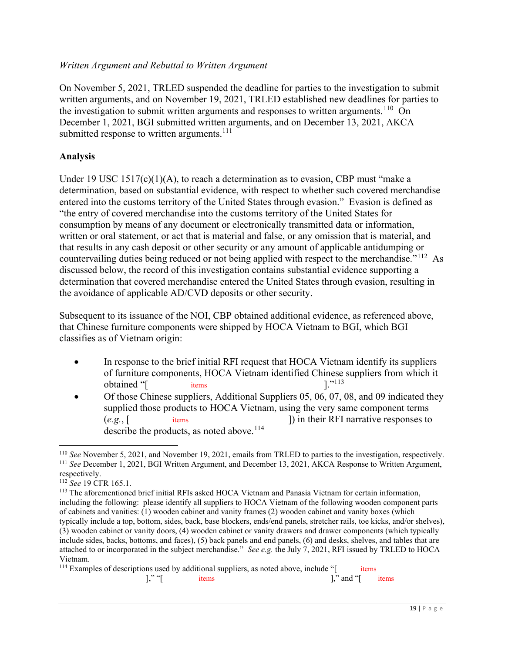## Written Argument and Rebuttal to Written Argument

 On November 5, 2021, TRLED suspended the deadline for parties to the investigation to submit written arguments, and on November 19, 2021, TRLED established new deadlines for parties to the investigation to submit written arguments and responses to written arguments.<sup>110</sup> On December 1, 2021, BGI submitted written arguments, and on December 13, 2021, AKCA submitted response to written arguments.<sup>111</sup>

## Analysis

 Under 19 USC 1517(c)(1)(A), to reach a determination as to evasion, CBP must "make a determination, based on substantial evidence, with respect to whether such covered merchandise entered into the customs territory of the United States through evasion." Evasion is defined as "the entry of covered merchandise into the customs territory of the United States for consumption by means of any document or electronically transmitted data or information, written or oral statement, or act that is material and false, or any omission that is material, and that results in any cash deposit or other security or any amount of applicable antidumping or countervailing duties being reduced or not being applied with respect to the merchandise."<sup>112</sup> As discussed below, the record of this investigation contains substantial evidence supporting a determination that covered merchandise entered the United States through evasion, resulting in the avoidance of applicable AD/CVD deposits or other security.

 Subsequent to its issuance of the NOI, CBP obtained additional evidence, as referenced above, that Chinese furniture components were shipped by HOCA Vietnam to BGI, which BGI classifies as of Vietnam origin:

- In response to the brief initial RFI request that HOCA Vietnam identify its suppliers of furniture components, HOCA Vietnam identified Chinese suppliers from which it items **xxx** obtained "[ items  $\frac{1}{1!}$  items  $\frac{1}{1!}$   $\frac{1}{1!}$
- Of those Chinese suppliers, Additional Suppliers 05, 06, 07, 08, and 09 indicated they supplied those products to HOCA Vietnam, using the very same component terms  $(e.g., \lceil$ describe the products, as noted above.<sup>114</sup> items  $x_1 + x_2 + x_3 = 0$ (e.g., items ) in their RFI narrative responses to

 $110$  See November 5, 2021, and November 19, 2021, emails from TRLED to parties to the investigation, respectively. <sup>111</sup> See December 1, 2021, BGI Written Argument, and December 13, 2021, AKCA Response to Written Argument, respectively.

<sup>112</sup> See 19 CFR 165.1.

<sup>&</sup>lt;sup>113</sup> The aforementioned brief initial RFIs asked HOCA Vietnam and Panasia Vietnam for certain information, including the following: please identify all suppliers to HOCA Vietnam of the following wooden component parts of cabinets and vanities: (1) wooden cabinet and vanity frames (2) wooden cabinet and vanity boxes (which typically include a top, bottom, sides, back, base blockers, ends/end panels, stretcher rails, toe kicks, and/or shelves), (3) wooden cabinet or vanity doors, (4) wooden cabinet or vanity drawers and drawer components (which typically include sides, backs, bottoms, and faces), (5) back panels and end panels, (6) and desks, shelves, and tables that are attached to or incorporated in the subject merchandise." See e.g. the July 7, 2021, RFI issued by TRLED to HOCA Vietnam.

<sup>&</sup>lt;sup>114</sup> Examples of descriptions used by additional suppliers, as noted above, include "[ items items  $\mathbf{x}$ ,  $\mathbf{x}$ ,  $\mathbf{x}$ ,  $\mathbf{x}$ ,  $\mathbf{x}$  and  $\mathbf{x}$  items  $\mathbf{x}$ ,  $\mathbf{x}$ ,  $\mathbf{x}$ ,  $\mathbf{x}$ ,  $\mathbf{x}$ ,  $\mathbf{x}$ ,  $\mathbf{x}$ ,  $\mathbf{x}$ ,  $\mathbf{x}$ ,  $\mathbf{x}$ ,  $\mathbf{x}$ ,  $\mathbf{x}$ ,  $\mathbf{x}$ ,  $\mathbf{x}$ ,  $\mathbf{x}$ ,  $\mathbf{x}$ ,  $\mathbf{x}$ ,  $\mathbf{x}$  $]$ ," "[ items  $]$ ," and "[ items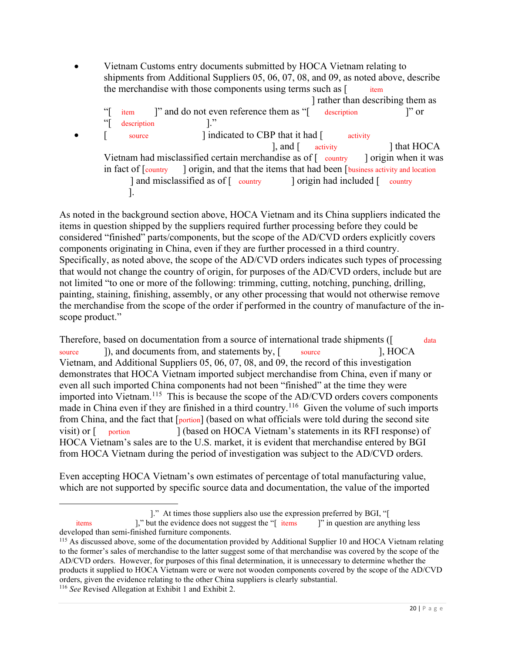Vietnam Customs entry documents submitted by HOCA Vietnam relating to shipments from Additional Suppliers 05, 06, 07, 08, and 09, as noted above, describe the merchandise with those components using terms such as [item "[ item ]" and do not even reference them as "[ description ]" or Vietnam had misclassified certain merchandise as of  $\lceil \frac{\text{counter}}{\text{counter}} \rceil$  origin when it was in fact of [country] ] and misclassified as of [ country ] origin had included [ country ]. item "[ description ]."  $\bullet$  [ source ] indicated to CBP that it had [ activity  $\lambda$ , and  $\lambda$  activity in fact of [country ] origin, and that the items that had been [business activity and location ] rather than describing them as ] that HOCA

 As noted in the background section above, HOCA Vietnam and its China suppliers indicated the items in question shipped by the suppliers required further processing before they could be considered "finished" parts/components, but the scope of the AD/CVD orders explicitly covers components originating in China, even if they are further processed in a third country. Specifically, as noted above, the scope of the AD/CVD orders indicates such types of processing that would not change the country of origin, for purposes of the AD/CVD orders, include but are not limited "to one or more of the following: trimming, cutting, notching, punching, drilling, painting, staining, finishing, assembly, or any other processing that would not otherwise remove the merchandise from the scope of the order if performed in the country of manufacture of the in-scope product."

Therefore, based on documentation from a source of international trade shipments ([ data source J), and documents from, and statements by, [ source ], HOCA Vietnam, and Additional Suppliers 05, 06, 07, 08, and 09, the record of this investigation demonstrates that HOCA Vietnam imported subject merchandise from China, even if many or even all such imported China components had not been "finished" at the time they were imported into Vietnam.<sup>115</sup> This is because the scope of the AD/CVD orders covers components made in China even if they are finished in a third country.<sup>116</sup> Given the volume of such imports from China, and the fact that [portion] (based on what officials were told during the second site visit) or  $\lceil$  HOCA Vietnam's sales are to the U.S. market, it is evident that merchandise entered by BGI from HOCA Vietnam during the period of investigation was subject to the AD/CVD orders. portion [  $\vert$  (based on HOCA Vietnam's statements in its RFI response) of

 Even accepting HOCA Vietnam's own estimates of percentage of total manufacturing value, which are not supported by specific source data and documentation, the value of the imported

<sup>116</sup> See Revised Allegation at Exhibit 1 and Exhibit 2.

<sup>].&</sup>quot; At times those suppliers also use the expression preferred by BGI, "[

 developed than semi-finished furniture components. items a contract all items items items in the evidence does not suggest the "[ items ]" in question are anything less

<sup>&</sup>lt;sup>115</sup> As discussed above, some of the documentation provided by Additional Supplier 10 and HOCA Vietnam relating to the former's sales of merchandise to the latter suggest some of that merchandise was covered by the scope of the AD/CVD orders. However, for purposes of this final determination, it is unnecessary to determine whether the products it supplied to HOCA Vietnam were or were not wooden components covered by the scope of the AD/CVD orders, given the evidence relating to the other China suppliers is clearly substantial.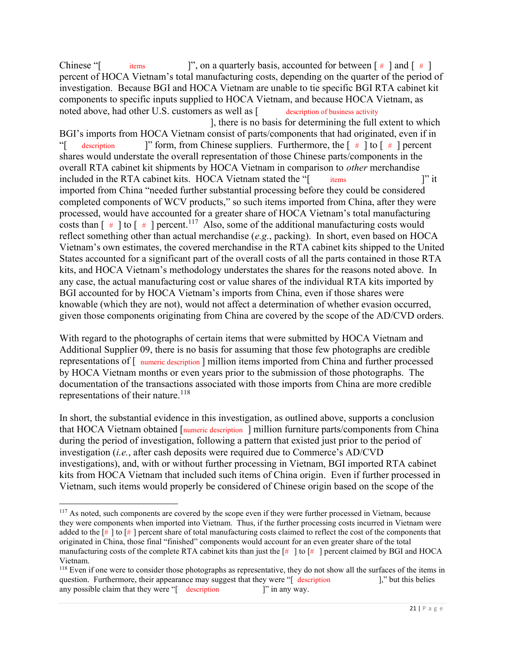percent of HOCA Vietnam's total manufacturing costs, depending on the quarter of the period of investigation. Because BGI and HOCA Vietnam are unable to tie specific BGI RTA cabinet kit components to specific inputs supplied to HOCA Vietnam, and because HOCA Vietnam, as noted above, had other U.S. customers as well as [ description of business activity BGI's imports from HOCA Vietnam consist of parts/components that had originated, even if in "[ description ]" form, from Chinese suppliers. Furthermore, the  $[$  # ] to  $[$  # ] percent shares would understate the overall representation of those Chinese parts/components in the overall RTA cabinet kit shipments by HOCA Vietnam in comparison to *other* merchandise included in the RTA cabinet kits. HOCA Vietnam stated the "[ items ]" it imported from China "needed further substantial processing before they could be considered completed components of WCV products," so such items imported from China, after they were processed, would have accounted for a greater share of HOCA Vietnam's total manufacturing costs than  $[$  #  $]$  to  $[$  #  $]$  percent.<sup>117</sup> Also, some of the additional manufacturing costs would reflect something other than actual merchandise (e.g., packing). In short, even based on HOCA Vietnam's own estimates, the covered merchandise in the RTA cabinet kits shipped to the United States accounted for a significant part of the overall costs of all the parts contained in those RTA kits, and HOCA Vietnam's methodology understates the shares for the reasons noted above. In any case, the actual manufacturing cost or value shares of the individual RTA kits imported by BGI accounted for by HOCA Vietnam's imports from China, even if those shares were knowable (which they are not), would not affect a determination of whether evasion occurred, given those components originating from China are covered by the scope of the AD/CVD orders. Chinese "[ items ]", on a quarterly basis, accounted for between  $[$  #  $]$  and  $[$  #  $]$ description of business activity  $i$ tems  $i$ <sup>x</sup> it ], there is no basis for determining the full extent to which

 With regard to the photographs of certain items that were submitted by HOCA Vietnam and Additional Supplier 09, there is no basis for assuming that those few photographs are credible representations of [ numeric description ] million items imported from China and further processed by HOCA Vietnam months or even years prior to the submission of those photographs. The documentation of the transactions associated with those imports from China are more credible representations of their nature.<sup>118</sup>

 In short, the substantial evidence in this investigation, as outlined above, supports a conclusion that HOCA Vietnam obtained [numeric description ] million furniture parts/components from China during the period of investigation, following a pattern that existed just prior to the period of investigation (*i.e.*, after cash deposits were required due to Commerce's AD/CVD investigations), and, with or without further processing in Vietnam, BGI imported RTA cabinet kits from HOCA Vietnam that included such items of China origin. Even if further processed in Vietnam, such items would properly be considered of Chinese origin based on the scope of the

<sup>&</sup>lt;sup>117</sup> As noted, such components are covered by the scope even if they were further processed in Vietnam, because they were components when imported into Vietnam. Thus, if the further processing costs incurred in Vietnam were added to the  $[\#]$  to  $[\#]$  percent share of total manufacturing costs claimed to reflect the cost of the components that originated in China, those final "finished" components would account for an even greater share of the total manufacturing costs of the complete RTA cabinet kits than just the  $\lceil # \rceil$  to  $\lceil # \rceil$  percent claimed by BGI and HOCA Vietnam.

<sup>&</sup>lt;sup>118</sup> Even if one were to consider those photographs as representative, they do not show all the surfaces of the items in question. Furthermore, their appearance may suggest that they were "[ description ]," but this belies any possible claim that they were "[ description ]" in any way.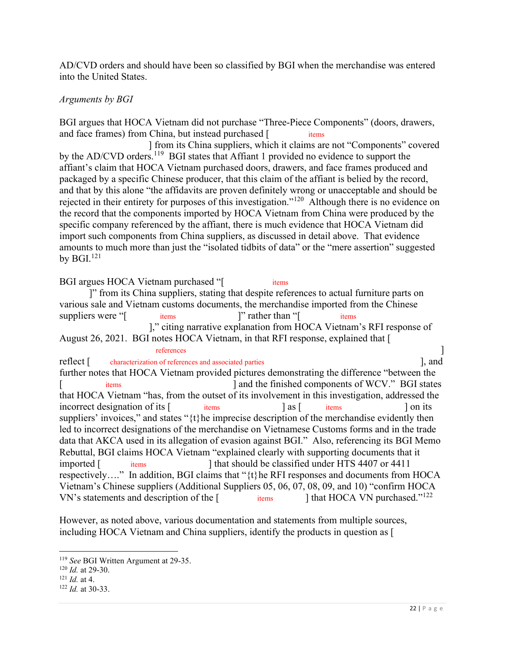AD/CVD orders and should have been so classified by BGI when the merchandise was entered into the United States.

## Arguments by BGI

 BGI argues that HOCA Vietnam did not purchase "Three-Piece Components" (doors, drawers, and face frames) from China, but instead purchased [ items items **sxx** 

by the AD/CVD orders.<sup>119</sup> BGI states that Affiant 1 provided no evidence to support the affiant's claim that HOCA Vietnam purchased doors, drawers, and face frames produced and packaged by a specific Chinese producer, that this claim of the affiant is belied by the record, and that by this alone "the affidavits are proven definitely wrong or unacceptable and should be rejected in their entirety for purposes of this investigation."<sup>120</sup> Although there is no evidence on the record that the components imported by HOCA Vietnam from China were produced by the specific company referenced by the affiant, there is much evidence that HOCA Vietnam did import such components from China suppliers, as discussed in detail above. That evidence amounts to much more than just the "isolated tidbits of data" or the "mere assertion" suggested by  $BGI.<sup>121</sup>$ ] from its China suppliers, which it claims are not "Components" covered

BGI argues HOCA Vietnam purchased "[ items ]" from its China suppliers, stating that despite references to actual furniture parts on various sale and Vietnam customs documents, the merchandise imported from the Chinese suppliers were "[ items [ items ]" rather than "[ items ]," citing narrative explanation from HOCA Vietnam's RFI response of August 26, 2021. BGI notes HOCA Vietnam, in that RFI response, explained that [ reflect [ characterization of references and associated parties ], and further notes that HOCA Vietnam provided pictures demonstrating the difference "between the that HOCA Vietnam "has, from the outset of its involvement in this investigation, addressed the incorrect designation of its [ items ] as [ items ] on its suppliers' invoices," and states "{t}he imprecise description of the merchandise evidently then led to incorrect designations of the merchandise on Vietnamese Customs forms and in the trade data that AKCA used in its allegation of evasion against BGI." Also, referencing its BGI Memo Rebuttal, BGI claims HOCA Vietnam "explained clearly with supporting documents that it respectively…." In addition, BGI claims that "{t}he RFI responses and documents from HOCA Vietnam's Chinese suppliers (Additional Suppliers 05, 06, 07, 08, 09, and 10) "confirm HOCA VN's statements and description of the  $[$  items  $]$  that HOCA VN purchased."<sup>122</sup> items xxxx-xx xxxxxx xxxxxx xxxxxxxx x xxxxxxxxxx xxxxxxxxx xxx xx xxxxx xxxxxxx xxxx xxx Vxxxxxx xxxxxxx xxxxxxxxx xxxx-xxxx xxxx xxxxxx xx xxxxxxxxx  $\arctan x$   $\arctan x$   $\arctan x$   $\arctan x$   $\arctan x$   $\arctan x$   $\arctan x$   $\arctan x$   $\arctan x$   $\arctan x$  $imported$   $\lceil$   $items$ items  $\parallel$  that HOCA VN purchased."<sup>122</sup> references and the contract of the contract of the contract of the contract of the contract of the contract of the contract of the contract of the contract of the contract of the contract of the contract of the contract of [ items ] and the finished components of WCV." BGI states I that should be classified under HTS 4407 or 4411

 However, as noted above, various documentation and statements from multiple sources, including HOCA Vietnam and China suppliers, identify the products in question as [

<sup>&</sup>lt;sup>119</sup> See BGI Written Argument at 29-35.

 $120$  *Id.* at 29-30.

 $121$  *Id.* at 4.

 $122$  *Id.* at 30-33.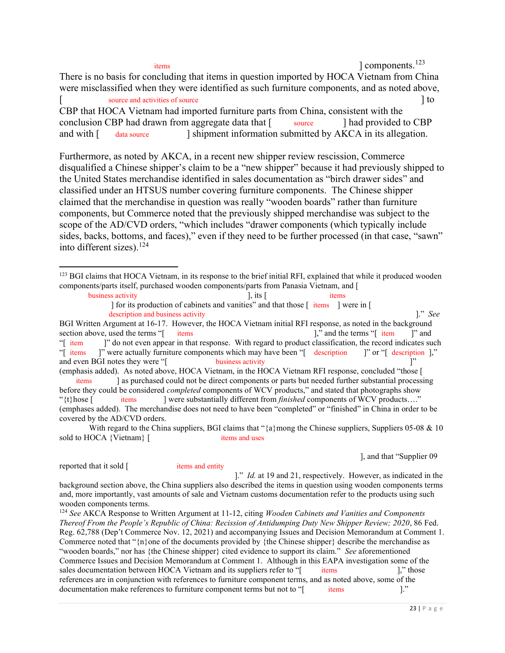xxxxxxxx xxxxx, xxxx- xxxxxxxx xxxxxxx, xxx xxxx-xxxxxxxx xxxxx items ] components.<sup>123</sup>

 There is no basis for concluding that items in question imported by HOCA Vietnam from China were misclassified when they were identified as such furniture components, and as noted above,

[ source and activities of source  $\left[ \begin{array}{ccc} 1 & 0 & 0 \\ 0 & 0 & 0 \\ 0 & 0 & 0 \\ 0 & 0 & 0 \\ 0 & 0 & 0 \\ 0 & 0 & 0 \\ 0 & 0 & 0 \\ 0 & 0 & 0 \\ 0 & 0 & 0 \\ 0 & 0 & 0 \\ 0 & 0 & 0 \\ 0 & 0 & 0 \\ 0 & 0 & 0 \\ 0 & 0 & 0 \\ 0 & 0 & 0 & 0 \\ 0 & 0 & 0 & 0 \\ 0 & 0 & 0 & 0 \\ 0 & 0 & 0 & 0 \\ 0 &$ 

 CBP that HOCA Vietnam had imported furniture parts from China, consistent with the conclusion CBP had drawn from aggregate data that  $\lceil \cdot \cdot \rceil$  source  $\lceil \cdot \cdot \rceil$  had provided to CBP and with [ source and had provided to CBP data source I shipment information submitted by AKCA in its allegation.

 Furthermore, as noted by AKCA, in a recent new shipper review rescission, Commerce disqualified a Chinese shipper's claim to be a "new shipper" because it had previously shipped to the United States merchandise identified in sales documentation as "birch drawer sides" and classified under an HTSUS number covering furniture components. The Chinese shipper claimed that the merchandise in question was really "wooden boards" rather than furniture components, but Commerce noted that the previously shipped merchandise was subject to the scope of the AD/CVD orders, "which includes "drawer components (which typically include sides, backs, bottoms, and faces)," even if they need to be further processed (in that case, "sawn" into different sizes).<sup>124</sup>

] for its production of cabinets and vanities" and that those  $\left[$  items  $\right]$  were in  $\left[$ description and business activity **and its activity** and its activity and its activity of the state of the state of the state of the state of the state of the state of the state of the state of the state of the state of th

 items ] as purchased could not be direct components or parts but needed further substantial processing before they could be considered *completed* components of WCV products," and stated that photographs show items **xxx**  (emphases added). The merchandise does not need to have been "completed" or "finished" in China in order to be covered by the AD/CVD orders. items "{t}hose [ items ] were substantially different from finished components of WCV products…."

With regard to the China suppliers, BGI claims that " ${a}$ } mong the Chinese suppliers, Suppliers 05-08 & 10 sold to HOCA {Vietnam} [ items and uses items and uses

], and that "Supplier 09

reported that it sold [ items and entity

items and entity

 background section above, the China suppliers also described the items in question using wooden components terms and, more importantly, vast amounts of sale and Vietnam customs documentation refer to the products using such wooden components terms. ]." Id. at 19 and 21, respectively. However, as indicated in the

 $124$  See AKCA Response to Written Argument at 11-12, citing Wooden Cabinets and Vanities and Components Thereof From the People's Republic of China: Recission of Antidumping Duty New Shipper Review; 2020, 86 Fed. Reg. 62,788 (Dep't Commerce Nov. 12, 2021) and accompanying Issues and Decision Memorandum at Comment 1. Commerce noted that " $\{n\}$  one of the documents provided by  $\{$  the Chinese shipper $\}$  describe the merchandise as "wooden boards," nor has {the Chinese shipper} cited evidence to support its claim." See aforementioned Commerce Issues and Decision Memorandum at Comment 1. Although in this EAPA investigation some of the sales documentation between HOCA Vietnam and its suppliers refer to "[ items ]," those references are in conjunction with references to furniture component terms, and as noted above, some of the documentation make references to furniture component terms but not to "[ items ]." xxxx- xxxxxxxx xxxxxx  $i$ tems  $]$ ."

<sup>&</sup>lt;sup>123</sup> BGI claims that HOCA Vietnam, in its response to the brief initial RFI, explained that while it produced wooden components/parts itself, purchased wooden components/parts from Panasia Vietnam, and [

business activity  $\left| \cdot \right|$ , its  $\left| \cdot \right|$  items

 BGI Written Argument at 16-17. However, the HOCA Vietnam initial RFI response, as noted in the background section above, used the terms "[ items items items items in the terms in terms in terms in terms in terms in terms in terms in terms in terms in terms in terms in terms in terms in terms in terms in terms in terms in terms "[ item ]" do not even appear in that response. With regard to product classification, the record indicates such "[ items ]" were actually furniture components which may have been "[ description ]" or "[ description ]," and even BGI notes they were "[ business activity limits are not all the set of the set of the set of the set of the set of the set of the set of the set of the set of the set of the set of the set of the set of the set of (emphasis added). As noted above, HOCA Vietnam, in the HOCA Vietnam RFI response, concluded "those [ items 1," and the terms "[ item 1" and " $\begin{bmatrix} \text{item} \\ \text{if } \text{items} \end{bmatrix}$  $\frac{1}{2}$  business activity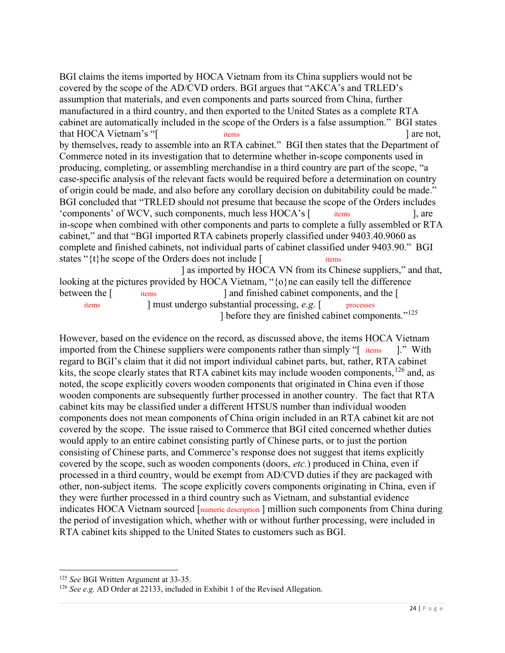BGI claims the items imported by HOCA Vietnam from its China suppliers would not be covered by the scope of the AD/CVD orders. BGI argues that "AKCA's and TRLED's assumption that materials, and even components and parts sourced from China, further manufactured in a third country, and then exported to the United States as a complete RTA cabinet are automatically included in the scope of the Orders is a false assumption." BGI states that HOCA Vietnam's "[ items ] are not, by themselves, ready to assemble into an RTA cabinet." BGI then states that the Department of Commerce noted in its investigation that to determine whether in-scope components used in producing, completing, or assembling merchandise in a third country are part of the scope, "a case-specific analysis of the relevant facts would be required before a determination on country of origin could be made, and also before any corollary decision on dubitability could be made." BGI concluded that "TRLED should not presume that because the scope of the Orders includes 'components' of WCV, such components, much less HOCA's [ items ], are in-scope when combined with other components and parts to complete a fully assembled or RTA cabinet," and that "BGI imported RTA cabinets properly classified under 9403.40.9060 as complete and finished cabinets, not individual parts of cabinet classified under 9403.90." BGI states " $\{t\}$ he scope of the Orders does not include [ items ] as imported by HOCA VN from its Chinese suppliers," and that, looking at the pictures provided by HOCA Vietnam, "{o}ne can easily tell the difference between the [ xxxx-xxxxxxxx xxxxxx xxx xxxxx, xxxxxxx, xxx xxxxxx items 1, are xxxx-xxxxxxxx xxxxxx xxx between the [ items ] and finished cabinet components, and the [ items ] must undergo substantial processing, e.g. [ processes

] before they are finished cabinet components."<sup>125</sup>

 However, based on the evidence on the record, as discussed above, the items HOCA Vietnam imported from the Chinese suppliers were components rather than simply "[ items ]." With regard to BGI's claim that it did not import individual cabinet parts, but, rather, RTA cabinet kits, the scope clearly states that RTA cabinet kits may include wooden components, <sup>126</sup> and, as noted, the scope explicitly covers wooden components that originated in China even if those wooden components are subsequently further processed in another country. The fact that RTA cabinet kits may be classified under a different HTSUS number than individual wooden components does not mean components of China origin included in an RTA cabinet kit are not covered by the scope. The issue raised to Commerce that BGI cited concerned whether duties would apply to an entire cabinet consisting partly of Chinese parts, or to just the portion consisting of Chinese parts, and Commerce's response does not suggest that items explicitly covered by the scope, such as wooden components (doors, etc.) produced in China, even if processed in a third country, would be exempt from AD/CVD duties if they are packaged with other, non-subject items. The scope explicitly covers components originating in China, even if they were further processed in a third country such as Vietnam, and substantial evidence indicates HOCA Vietnam sourced [numeric description ] million such components from China during the period of investigation which, whether with or without further processing, were included in RTA cabinet kits shipped to the United States to customers such as BGI.

<sup>&</sup>lt;sup>125</sup> See BGI Written Argument at 33-35.

 $126$  See e.g. AD Order at 22133, included in Exhibit 1 of the Revised Allegation.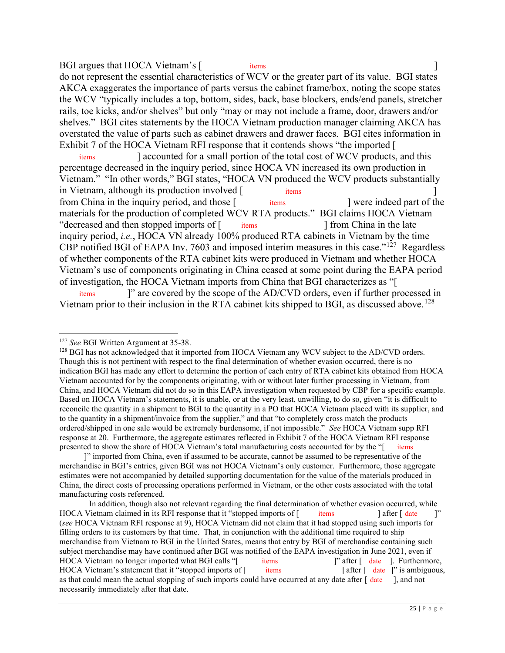BGI argues that HOCA Vietnam's [ items ] do not represent the essential characteristics of WCV or the greater part of its value. BGI states AKCA exaggerates the importance of parts versus the cabinet frame/box, noting the scope states the WCV "typically includes a top, bottom, sides, back, base blockers, ends/end panels, stretcher rails, toe kicks, and/or shelves" but only "may or may not include a frame, door, drawers and/or shelves." BGI cites statements by the HOCA Vietnam production manager claiming AKCA has overstated the value of parts such as cabinet drawers and drawer faces. BGI cites information in Exhibit 7 of the HOCA Vietnam RFI response that it contends shows "the imported [ xxxx-xxxxx xxxxxx xxx xxxxxxx, xxxxx, xxx xxxxxx

 percentage decreased in the inquiry period, since HOCA VN increased its own production in Vietnam." "In other words," BGI states, "HOCA VN produced the WCV products substantially in Vietnam, although its production involved [ items ] from China in the inquiry period, and those [ items ] were indeed part of the materials for the production of completed WCV RTA products." BGI claims HOCA Vietnam "decreased and then stopped imports of [ items ] from China in the late inquiry period, *i.e.*, HOCA VN already 100% produced RTA cabinets in Vietnam by the time CBP notified BGI of EAPA Inv. 7603 and imposed interim measures in this case." $127$  Regardless of whether components of the RTA cabinet kits were produced in Vietnam and whether HOCA Vietnam's use of components originating in China ceased at some point during the EAPA period of investigation, the HOCA Vietnam imports from China that BGI characterizes as "[ xxxx xxxxxx items  $x \times x \times x \times x$ items were indeed part of the items 1 from China in the late I accounted for a small portion of the total cost of WCV products, and this ]" are covered by the scope of the AD/CVD orders, even if further processed in

Vietnam prior to their inclusion in the RTA cabinet kits shipped to BGI, as discussed above.<sup>128</sup>

 ]" imported from China, even if assumed to be accurate, cannot be assumed to be representative of the merchandise in BGI's entries, given BGI was not HOCA Vietnam's only customer. Furthermore, those aggregate estimates were not accompanied by detailed supporting documentation for the value of the materials produced in China, the direct costs of processing operations performed in Vietnam, or the other costs associated with the total manufacturing costs referenced.

 In addition, though also not relevant regarding the final determination of whether evasion occurred, while HOCA Vietnam claimed in its RFI response that it "stopped imports of [ items ] after [ date ]" (see HOCA Vietnam RFI response at 9), HOCA Vietnam did not claim that it had stopped using such imports for filling orders to its customers by that time. That, in conjunction with the additional time required to ship merchandise from Vietnam to BGI in the United States, means that entry by BGI of merchandise containing such subject merchandise may have continued after BGI was notified of the EAPA investigation in June 2021, even if HOCA Vietnam no longer imported what BGI calls "[ items ]" after [ date ]. Furthermore, HOCA Vietnam's statement that it "stopped imports of [ items ] after [ date ]" is ambiguous, as that could mean the actual stopping of such imports could have occurred at any date after  $\int$  date  $\int$ , and not necessarily immediately after that date.  $i$ tems  $\qquad$   $\qquad$   $\qquad$   $\qquad$   $\qquad$   $\qquad$   $\qquad$   $\qquad$   $\qquad$   $\qquad$   $\qquad$   $\qquad$   $\qquad$   $\qquad$   $\qquad$   $\qquad$   $\qquad$   $\qquad$   $\qquad$   $\qquad$   $\qquad$   $\qquad$   $\qquad$   $\qquad$   $\qquad$   $\qquad$   $\qquad$   $\qquad$   $\qquad$   $\qquad$   $\qquad$   $\qquad$   $\qquad$   $\qquad$   $\qquad$   $\q$ items  $\vert$ " after  $\vert$  date  $\vert$ . Furthermore,  $\lambda$  items  $\lambda$  after  $\lambda$  after  $\lambda$  after  $\lambda$  is ambiguous,

<sup>&</sup>lt;sup>127</sup> See BGI Written Argument at 35-38.

 $128$  BGI has not acknowledged that it imported from HOCA Vietnam any WCV subject to the AD/CVD orders. Though this is not pertinent with respect to the final determination of whether evasion occurred, there is no indication BGI has made any effort to determine the portion of each entry of RTA cabinet kits obtained from HOCA Vietnam accounted for by the components originating, with or without later further processing in Vietnam, from China, and HOCA Vietnam did not do so in this EAPA investigation when requested by CBP for a specific example. Based on HOCA Vietnam's statements, it is unable, or at the very least, unwilling, to do so, given "it is difficult to reconcile the quantity in a shipment to BGI to the quantity in a PO that HOCA Vietnam placed with its supplier, and to the quantity in a shipment/invoice from the supplier," and that "to completely cross match the products ordered/shipped in one sale would be extremely burdensome, if not impossible." See HOCA Vietnam supp RFI response at 20. Furthermore, the aggregate estimates reflected in Exhibit 7 of the HOCA Vietnam RFI response presented to show the share of HOCA Vietnam's total manufacturing costs accounted for by the "[items items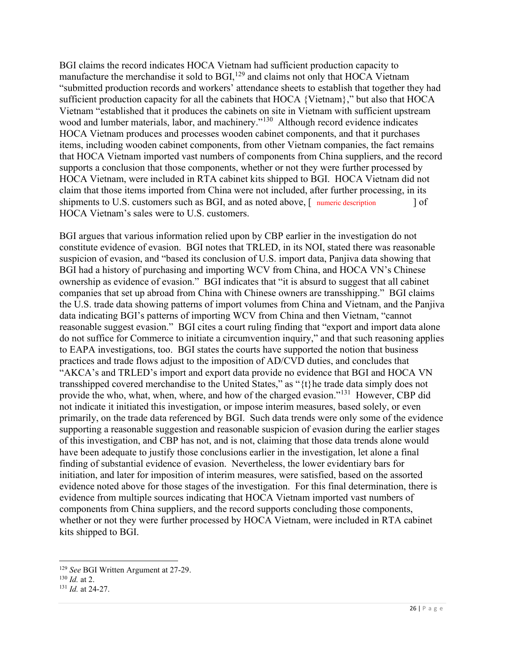BGI claims the record indicates HOCA Vietnam had sufficient production capacity to manufacture the merchandise it sold to  $BGI$ ,  $^{129}$  and claims not only that HOCA Vietnam "submitted production records and workers' attendance sheets to establish that together they had sufficient production capacity for all the cabinets that HOCA {Vietnam}," but also that HOCA Vietnam "established that it produces the cabinets on site in Vietnam with sufficient upstream wood and lumber materials, labor, and machinery."<sup>130</sup> Although record evidence indicates HOCA Vietnam produces and processes wooden cabinet components, and that it purchases items, including wooden cabinet components, from other Vietnam companies, the fact remains that HOCA Vietnam imported vast numbers of components from China suppliers, and the record supports a conclusion that those components, whether or not they were further processed by HOCA Vietnam, were included in RTA cabinet kits shipped to BGI. HOCA Vietnam did not claim that those items imported from China were not included, after further processing, in its shipments to U.S. customers such as BGI, and as noted above, [ numeric description ] of HOCA Vietnam's sales were to U.S. customers.

 BGI argues that various information relied upon by CBP earlier in the investigation do not constitute evidence of evasion. BGI notes that TRLED, in its NOI, stated there was reasonable suspicion of evasion, and "based its conclusion of U.S. import data, Panjiva data showing that BGI had a history of purchasing and importing WCV from China, and HOCA VN's Chinese ownership as evidence of evasion." BGI indicates that "it is absurd to suggest that all cabinet companies that set up abroad from China with Chinese owners are transshipping." BGI claims the U.S. trade data showing patterns of import volumes from China and Vietnam, and the Panjiva data indicating BGI's patterns of importing WCV from China and then Vietnam, "cannot reasonable suggest evasion." BGI cites a court ruling finding that "export and import data alone do not suffice for Commerce to initiate a circumvention inquiry," and that such reasoning applies to EAPA investigations, too. BGI states the courts have supported the notion that business practices and trade flows adjust to the imposition of AD/CVD duties, and concludes that "AKCA's and TRLED's import and export data provide no evidence that BGI and HOCA VN transshipped covered merchandise to the United States," as "{t}he trade data simply does not provide the who, what, when, where, and how of the charged evasion."<sup>131</sup> However, CBP did not indicate it initiated this investigation, or impose interim measures, based solely, or even primarily, on the trade data referenced by BGI. Such data trends were only some of the evidence supporting a reasonable suggestion and reasonable suspicion of evasion during the earlier stages of this investigation, and CBP has not, and is not, claiming that those data trends alone would have been adequate to justify those conclusions earlier in the investigation, let alone a final finding of substantial evidence of evasion. Nevertheless, the lower evidentiary bars for initiation, and later for imposition of interim measures, were satisfied, based on the assorted evidence noted above for those stages of the investigation. For this final determination, there is evidence from multiple sources indicating that HOCA Vietnam imported vast numbers of components from China suppliers, and the record supports concluding those components, whether or not they were further processed by HOCA Vietnam, were included in RTA cabinet kits shipped to BGI.

<sup>&</sup>lt;sup>129</sup> See BGI Written Argument at 27-29.

 $130$  *Id.* at 2.

 $131$  *Id.* at 24-27.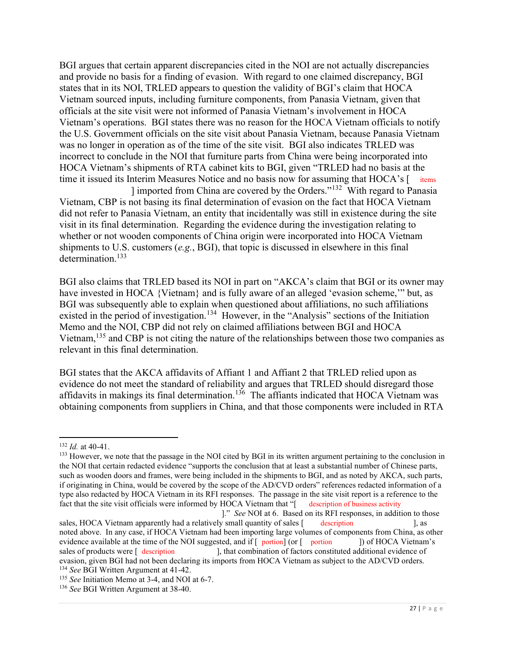BGI argues that certain apparent discrepancies cited in the NOI are not actually discrepancies and provide no basis for a finding of evasion. With regard to one claimed discrepancy, BGI states that in its NOI, TRLED appears to question the validity of BGI's claim that HOCA Vietnam sourced inputs, including furniture components, from Panasia Vietnam, given that officials at the site visit were not informed of Panasia Vietnam's involvement in HOCA Vietnam's operations. BGI states there was no reason for the HOCA Vietnam officials to notify the U.S. Government officials on the site visit about Panasia Vietnam, because Panasia Vietnam was no longer in operation as of the time of the site visit. BGI also indicates TRLED was incorrect to conclude in the NOI that furniture parts from China were being incorporated into HOCA Vietnam's shipments of RTA cabinet kits to BGI, given "TRLED had no basis at the time it issued its Interim Measures Notice and no basis now for assuming that HOCA's [items]

 Vietnam, CBP is not basing its final determination of evasion on the fact that HOCA Vietnam did not refer to Panasia Vietnam, an entity that incidentally was still in existence during the site visit in its final determination. Regarding the evidence during the investigation relating to whether or not wooden components of China origin were incorporated into HOCA Vietnam shipments to U.S. customers  $(e.g., BGI)$ , that topic is discussed in elsewhere in this final ] imported from China are covered by the Orders."<sup>132</sup> With regard to Panasia determination.<sup>133</sup>

 BGI also claims that TRLED based its NOI in part on "AKCA's claim that BGI or its owner may have invested in HOCA {Vietnam} and is fully aware of an alleged 'evasion scheme,'" but, as BGI was subsequently able to explain when questioned about affiliations, no such affiliations existed in the period of investigation.<sup>134</sup> However, in the "Analysis" sections of the Initiation Memo and the NOI, CBP did not rely on claimed affiliations between BGI and HOCA Vietnam,<sup>135</sup> and CBP is not citing the nature of the relationships between those two companies as relevant in this final determination.

 BGI states that the AKCA affidavits of Affiant 1 and Affiant 2 that TRLED relied upon as evidence do not meet the standard of reliability and argues that TRLED should disregard those affidavits in makings its final determination.<sup>136</sup> The affiants indicated that HOCA Vietnam was obtaining components from suppliers in China, and that those components were included in RTA

 $132$  *Id.* at 40-41.

<sup>&</sup>lt;sup>133</sup> However, we note that the passage in the NOI cited by BGI in its written argument pertaining to the conclusion in the NOI that certain redacted evidence "supports the conclusion that at least a substantial number of Chinese parts, such as wooden doors and frames, were being included in the shipments to BGI, and as noted by AKCA, such parts, if originating in China, would be covered by the scope of the AD/CVD orders" references redacted information of a type also redacted by HOCA Vietnam in its RFI responses. The passage in the site visit report is a reference to the fact that the site visit officials were informed by HOCA Vietnam that "[ description of business activity description of business activity

sales, HOCA Vietnam apparently had a relatively small quantity of sales [ description ], as noted above. In any case, if HOCA Vietnam had been importing large volumes of components from China, as other evidence available at the time of the NOI suggested, and if [ portion] (or [ portion ] of HOCA Vietnam's of products were  $\int$  description evasion, given BGI had not been declaring its imports from HOCA Vietnam as subject to the AD/CVD orders. <sup>134</sup> See BGI Written Argument at 41-42. description 1. as ]." See NOI at 6. Based on its RFI responses, in addition to those ], that combination of factors constituted additional evidence of

<sup>&</sup>lt;sup>135</sup> See Initiation Memo at 3-4, and NOI at 6-7.

<sup>&</sup>lt;sup>136</sup> See BGI Written Argument at 38-40.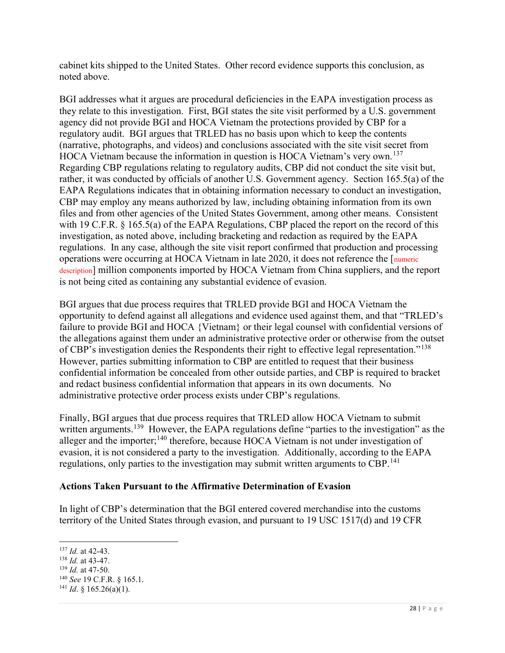cabinet kits shipped to the United States. Other record evidence supports this conclusion, as noted above.

 BGI addresses what it argues are procedural deficiencies in the EAPA investigation process as they relate to this investigation. First, BGI states the site visit performed by a U.S. government agency did not provide BGI and HOCA Vietnam the protections provided by CBP for a regulatory audit. BGI argues that TRLED has no basis upon which to keep the contents (narrative, photographs, and videos) and conclusions associated with the site visit secret from HOCA Vietnam because the information in question is HOCA Vietnam's very own.<sup>137</sup> Regarding CBP regulations relating to regulatory audits, CBP did not conduct the site visit but, rather, it was conducted by officials of another U.S. Government agency. Section 165.5(a) of the EAPA Regulations indicates that in obtaining information necessary to conduct an investigation, CBP may employ any means authorized by law, including obtaining information from its own files and from other agencies of the United States Government, among other means. Consistent with 19 C.F.R. § 165.5(a) of the EAPA Regulations, CBP placed the report on the record of this investigation, as noted above, including bracketing and redaction as required by the EAPA regulations. In any case, although the site visit report confirmed that production and processing operations were occurring at HOCA Vietnam in late 2020, it does not reference the [numeric description] million components imported by HOCA Vietnam from China suppliers, and the report is not being cited as containing any substantial evidence of evasion.

 BGI argues that due process requires that TRLED provide BGI and HOCA Vietnam the opportunity to defend against all allegations and evidence used against them, and that "TRLED's failure to provide BGI and HOCA {Vietnam} or their legal counsel with confidential versions of the allegations against them under an administrative protective order or otherwise from the outset of CBP's investigation denies the Respondents their right to effective legal representation."<sup>138</sup> However, parties submitting information to CBP are entitled to request that their business confidential information be concealed from other outside parties, and CBP is required to bracket and redact business confidential information that appears in its own documents. No administrative protective order process exists under CBP's regulations.

 Finally, BGI argues that due process requires that TRLED allow HOCA Vietnam to submit written arguments.<sup>139</sup> However, the EAPA regulations define "parties to the investigation" as the alleger and the importer;<sup>140</sup> therefore, because HOCA Vietnam is not under investigation of evasion, it is not considered a party to the investigation. Additionally, according to the EAPA regulations, only parties to the investigation may submit written arguments to CBP.<sup>141</sup>

# Actions Taken Pursuant to the Affirmative Determination of Evasion

 In light of CBP's determination that the BGI entered covered merchandise into the customs territory of the United States through evasion, and pursuant to 19 USC 1517(d) and 19 CFR

 $137$  *Id.* at 42-43.

 $138$  *Id.* at 43-47.

 $139$  *Id.* at 47-50.

 $140$  See 19 C.F.R. § 165.1.

 $141$  *Id.* § 165.26(a)(1).